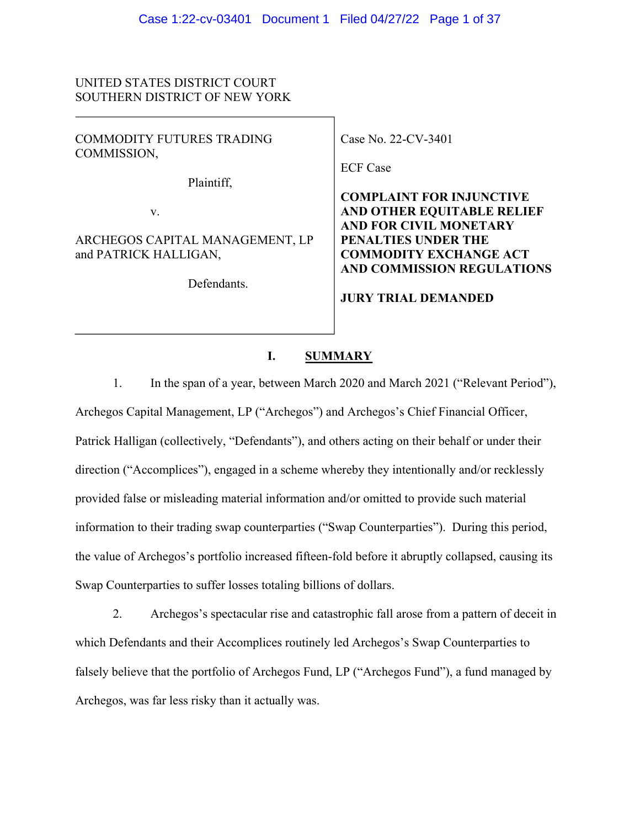# UNITED STATES DISTRICT COURT SOUTHERN DISTRICT OF NEW YORK

COMMODITY FUTURES TRADING COMMISSION,

Plaintiff,

v.

ARCHEGOS CAPITAL MANAGEMENT, LP and PATRICK HALLIGAN,

Defendants.

Case No. 22-CV-3401

ECF Case

**COMPLAINT FOR INJUNCTIVE AND OTHER EQUITABLE RELIEF AND FOR CIVIL MONETARY PENALTIES UNDER THE COMMODITY EXCHANGE ACT AND COMMISSION REGULATIONS** 

**JURY TRIAL DEMANDED**

#### **I. SUMMARY**

1. In the span of a year, between March 2020 and March 2021 ("Relevant Period"), Archegos Capital Management, LP ("Archegos") and Archegos's Chief Financial Officer, Patrick Halligan (collectively, "Defendants"), and others acting on their behalf or under their direction ("Accomplices"), engaged in a scheme whereby they intentionally and/or recklessly provided false or misleading material information and/or omitted to provide such material information to their trading swap counterparties ("Swap Counterparties"). During this period, the value of Archegos's portfolio increased fifteen-fold before it abruptly collapsed, causing its Swap Counterparties to suffer losses totaling billions of dollars.

2. Archegos's spectacular rise and catastrophic fall arose from a pattern of deceit in which Defendants and their Accomplices routinely led Archegos's Swap Counterparties to falsely believe that the portfolio of Archegos Fund, LP ("Archegos Fund"), a fund managed by Archegos, was far less risky than it actually was.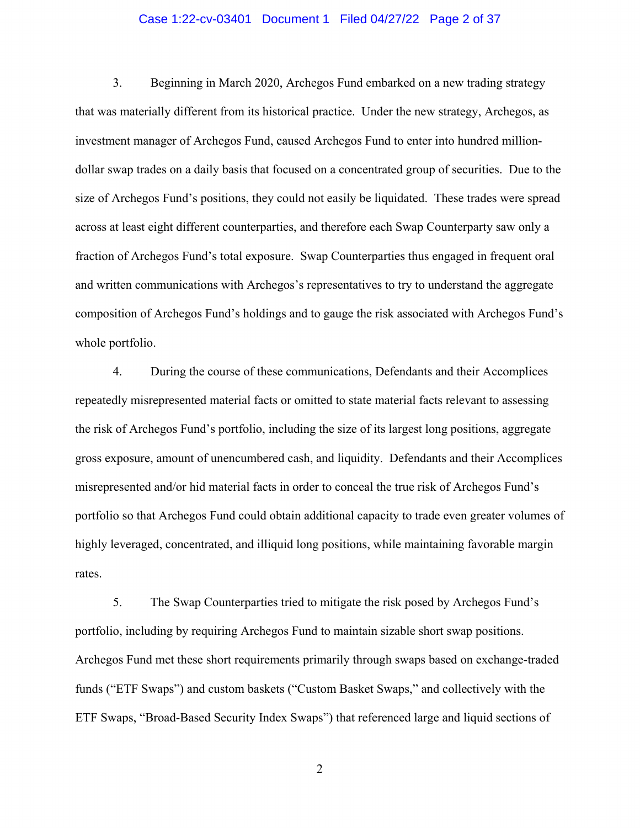#### Case 1:22-cv-03401 Document 1 Filed 04/27/22 Page 2 of 37

3. Beginning in March 2020, Archegos Fund embarked on a new trading strategy that was materially different from its historical practice. Under the new strategy, Archegos, as investment manager of Archegos Fund, caused Archegos Fund to enter into hundred milliondollar swap trades on a daily basis that focused on a concentrated group of securities. Due to the size of Archegos Fund's positions, they could not easily be liquidated. These trades were spread across at least eight different counterparties, and therefore each Swap Counterparty saw only a fraction of Archegos Fund's total exposure. Swap Counterparties thus engaged in frequent oral and written communications with Archegos's representatives to try to understand the aggregate composition of Archegos Fund's holdings and to gauge the risk associated with Archegos Fund's whole portfolio.

4. During the course of these communications, Defendants and their Accomplices repeatedly misrepresented material facts or omitted to state material facts relevant to assessing the risk of Archegos Fund's portfolio, including the size of its largest long positions, aggregate gross exposure, amount of unencumbered cash, and liquidity. Defendants and their Accomplices misrepresented and/or hid material facts in order to conceal the true risk of Archegos Fund's portfolio so that Archegos Fund could obtain additional capacity to trade even greater volumes of highly leveraged, concentrated, and illiquid long positions, while maintaining favorable margin rates.

5. The Swap Counterparties tried to mitigate the risk posed by Archegos Fund's portfolio, including by requiring Archegos Fund to maintain sizable short swap positions. Archegos Fund met these short requirements primarily through swaps based on exchange-traded funds ("ETF Swaps") and custom baskets ("Custom Basket Swaps," and collectively with the ETF Swaps, "Broad-Based Security Index Swaps") that referenced large and liquid sections of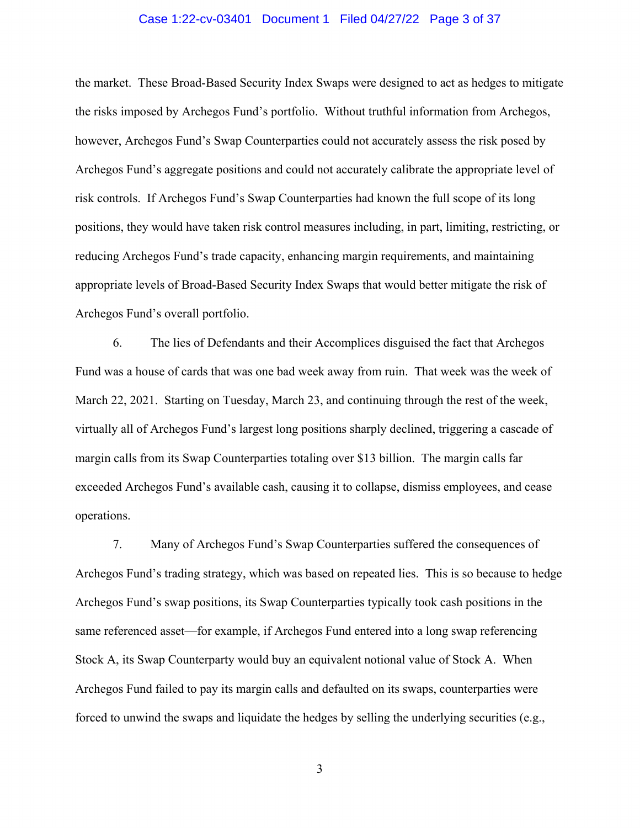#### Case 1:22-cv-03401 Document 1 Filed 04/27/22 Page 3 of 37

the market. These Broad-Based Security Index Swaps were designed to act as hedges to mitigate the risks imposed by Archegos Fund's portfolio. Without truthful information from Archegos, however, Archegos Fund's Swap Counterparties could not accurately assess the risk posed by Archegos Fund's aggregate positions and could not accurately calibrate the appropriate level of risk controls. If Archegos Fund's Swap Counterparties had known the full scope of its long positions, they would have taken risk control measures including, in part, limiting, restricting, or reducing Archegos Fund's trade capacity, enhancing margin requirements, and maintaining appropriate levels of Broad-Based Security Index Swaps that would better mitigate the risk of Archegos Fund's overall portfolio.

6. The lies of Defendants and their Accomplices disguised the fact that Archegos Fund was a house of cards that was one bad week away from ruin. That week was the week of March 22, 2021. Starting on Tuesday, March 23, and continuing through the rest of the week, virtually all of Archegos Fund's largest long positions sharply declined, triggering a cascade of margin calls from its Swap Counterparties totaling over \$13 billion. The margin calls far exceeded Archegos Fund's available cash, causing it to collapse, dismiss employees, and cease operations.

7. Many of Archegos Fund's Swap Counterparties suffered the consequences of Archegos Fund's trading strategy, which was based on repeated lies. This is so because to hedge Archegos Fund's swap positions, its Swap Counterparties typically took cash positions in the same referenced asset—for example, if Archegos Fund entered into a long swap referencing Stock A, its Swap Counterparty would buy an equivalent notional value of Stock A. When Archegos Fund failed to pay its margin calls and defaulted on its swaps, counterparties were forced to unwind the swaps and liquidate the hedges by selling the underlying securities (e.g.,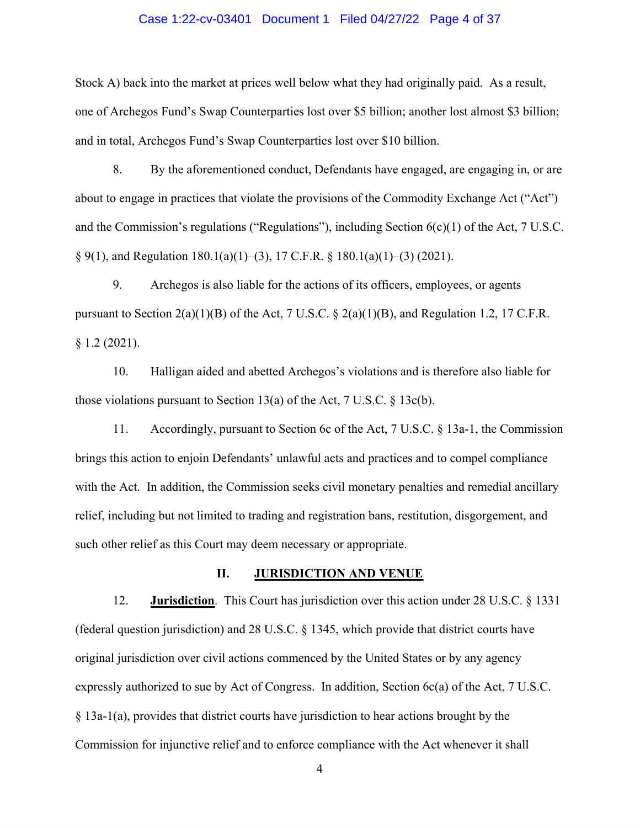#### Case 1:22-cv-03401 Document 1 Filed 04/27/22 Page 4 of 37

Stock A) back into the market at prices well below what they had originally paid. As a result, one of Archegos Fund's Swap Counterparties lost over \$5 billion; another lost almost \$3 billion; and in total, Archegos Fund's Swap Counterparties lost over \$10 billion.

8. By the aforementioned conduct, Defendants have engaged, are engaging in, or are about to engage in practices that violate the provisions of the Commodity Exchange Act ("Act") and the Commission's regulations ("Regulations"), including Section 6(c)(1) of the Act, 7 U.S.C.  $\S 9(1)$ , and Regulation 180.1(a)(1)–(3), 17 C.F.R.  $\S 180.1(a)(1)$ –(3) (2021).

9. Archegos is also liable for the actions of its officers, employees, or agents pursuant to Section  $2(a)(1)(B)$  of the Act, 7 U.S.C. §  $2(a)(1)(B)$ , and Regulation 1.2, 17 C.F.R. § 1.2 (2021).

10. Halligan aided and abetted Archegos's violations and is therefore also liable for those violations pursuant to Section 13(a) of the Act, 7 U.S.C.  $\S$  13c(b).

11. Accordingly, pursuant to Section 6c of the Act, 7 U.S.C. § 13a-1, the Commission brings this action to enjoin Defendants' unlawful acts and practices and to compel compliance with the Act. In addition, the Commission seeks civil monetary penalties and remedial ancillary relief, including but not limited to trading and registration bans, restitution, disgorgement, and such other relief as this Court may deem necessary or appropriate.

## **II. JURISDICTION AND VENUE**

12. **Jurisdiction**. This Court has jurisdiction over this action under 28 U.S.C. § 1331 (federal question jurisdiction) and 28 U.S.C. § 1345, which provide that district courts have original jurisdiction over civil actions commenced by the United States or by any agency expressly authorized to sue by Act of Congress. In addition, Section 6c(a) of the Act, 7 U.S.C. § 13a-1(a), provides that district courts have jurisdiction to hear actions brought by the Commission for injunctive relief and to enforce compliance with the Act whenever it shall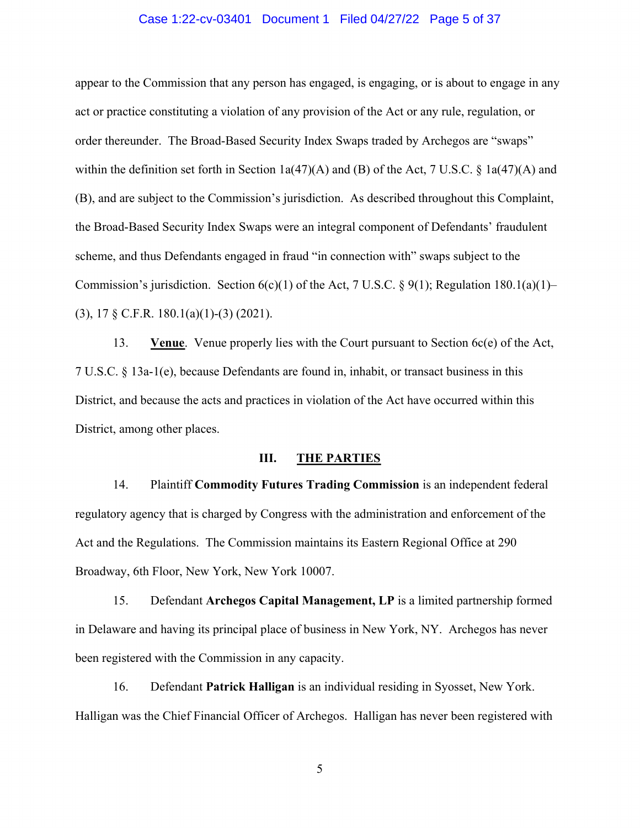#### Case 1:22-cv-03401 Document 1 Filed 04/27/22 Page 5 of 37

appear to the Commission that any person has engaged, is engaging, or is about to engage in any act or practice constituting a violation of any provision of the Act or any rule, regulation, or order thereunder. The Broad-Based Security Index Swaps traded by Archegos are "swaps" within the definition set forth in Section 1a(47)(A) and (B) of the Act, 7 U.S.C. § 1a(47)(A) and (B), and are subject to the Commission's jurisdiction. As described throughout this Complaint, the Broad-Based Security Index Swaps were an integral component of Defendants' fraudulent scheme, and thus Defendants engaged in fraud "in connection with" swaps subject to the Commission's jurisdiction. Section  $6(c)(1)$  of the Act, 7 U.S.C. § 9(1); Regulation 180.1(a)(1)– (3), 17 § C.F.R. 180.1(a)(1)-(3) (2021).

13. **Venue**. Venue properly lies with the Court pursuant to Section 6c(e) of the Act, 7 U.S.C. § 13a-1(e), because Defendants are found in, inhabit, or transact business in this District, and because the acts and practices in violation of the Act have occurred within this District, among other places.

# **III. THE PARTIES**

14. Plaintiff **Commodity Futures Trading Commission** is an independent federal regulatory agency that is charged by Congress with the administration and enforcement of the Act and the Regulations. The Commission maintains its Eastern Regional Office at 290 Broadway, 6th Floor, New York, New York 10007.

15. Defendant **Archegos Capital Management, LP** is a limited partnership formed in Delaware and having its principal place of business in New York, NY. Archegos has never been registered with the Commission in any capacity.

16. Defendant **Patrick Halligan** is an individual residing in Syosset, New York. Halligan was the Chief Financial Officer of Archegos. Halligan has never been registered with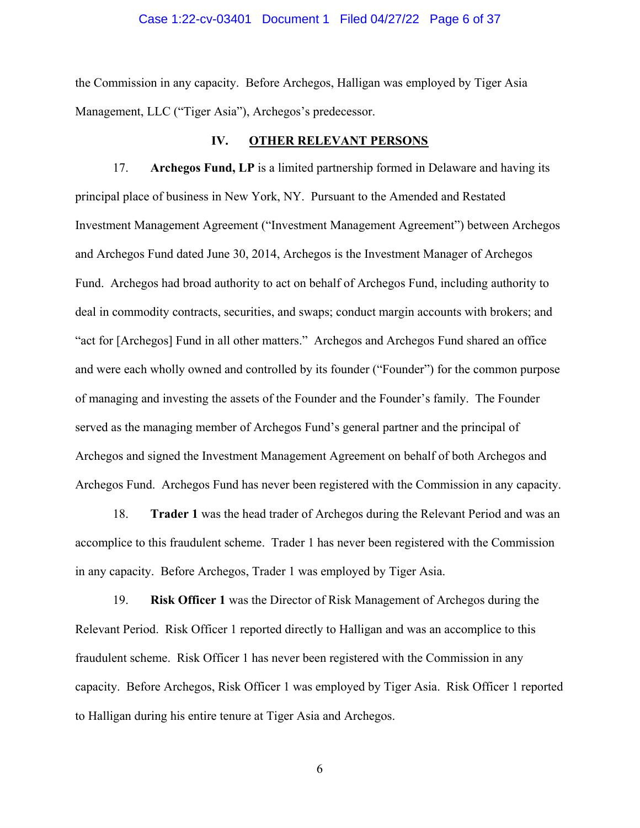#### Case 1:22-cv-03401 Document 1 Filed 04/27/22 Page 6 of 37

the Commission in any capacity. Before Archegos, Halligan was employed by Tiger Asia Management, LLC ("Tiger Asia"), Archegos's predecessor.

#### **IV. OTHER RELEVANT PERSONS**

17. **Archegos Fund, LP** is a limited partnership formed in Delaware and having its principal place of business in New York, NY. Pursuant to the Amended and Restated Investment Management Agreement ("Investment Management Agreement") between Archegos and Archegos Fund dated June 30, 2014, Archegos is the Investment Manager of Archegos Fund. Archegos had broad authority to act on behalf of Archegos Fund, including authority to deal in commodity contracts, securities, and swaps; conduct margin accounts with brokers; and "act for [Archegos] Fund in all other matters." Archegos and Archegos Fund shared an office and were each wholly owned and controlled by its founder ("Founder") for the common purpose of managing and investing the assets of the Founder and the Founder's family. The Founder served as the managing member of Archegos Fund's general partner and the principal of Archegos and signed the Investment Management Agreement on behalf of both Archegos and Archegos Fund. Archegos Fund has never been registered with the Commission in any capacity.

18. **Trader 1** was the head trader of Archegos during the Relevant Period and was an accomplice to this fraudulent scheme. Trader 1 has never been registered with the Commission in any capacity. Before Archegos, Trader 1 was employed by Tiger Asia.

19. **Risk Officer 1** was the Director of Risk Management of Archegos during the Relevant Period. Risk Officer 1 reported directly to Halligan and was an accomplice to this fraudulent scheme. Risk Officer 1 has never been registered with the Commission in any capacity. Before Archegos, Risk Officer 1 was employed by Tiger Asia. Risk Officer 1 reported to Halligan during his entire tenure at Tiger Asia and Archegos.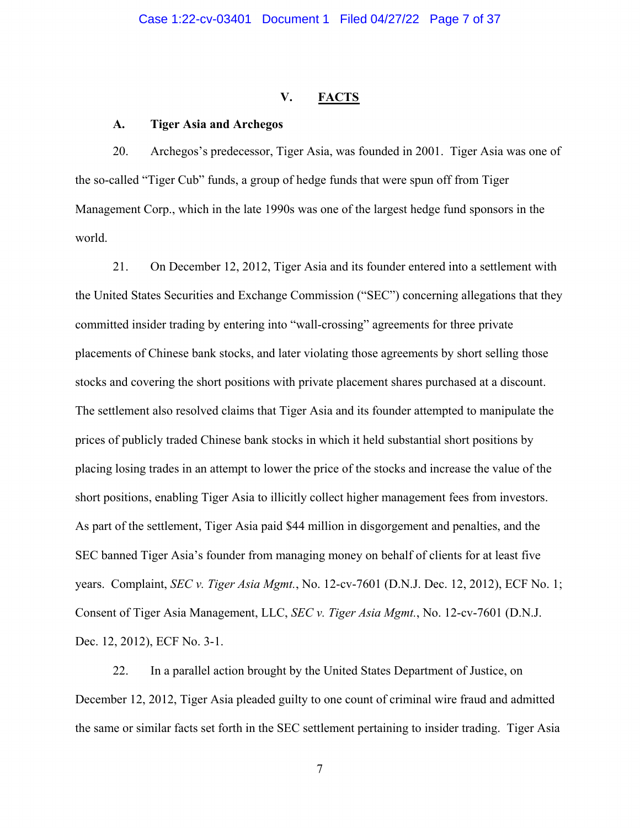#### **V. FACTS**

#### **A. Tiger Asia and Archegos**

20. Archegos's predecessor, Tiger Asia, was founded in 2001. Tiger Asia was one of the so-called "Tiger Cub" funds, a group of hedge funds that were spun off from Tiger Management Corp., which in the late 1990s was one of the largest hedge fund sponsors in the world.

21. On December 12, 2012, Tiger Asia and its founder entered into a settlement with the United States Securities and Exchange Commission ("SEC") concerning allegations that they committed insider trading by entering into "wall-crossing" agreements for three private placements of Chinese bank stocks, and later violating those agreements by short selling those stocks and covering the short positions with private placement shares purchased at a discount. The settlement also resolved claims that Tiger Asia and its founder attempted to manipulate the prices of publicly traded Chinese bank stocks in which it held substantial short positions by placing losing trades in an attempt to lower the price of the stocks and increase the value of the short positions, enabling Tiger Asia to illicitly collect higher management fees from investors. As part of the settlement, Tiger Asia paid \$44 million in disgorgement and penalties, and the SEC banned Tiger Asia's founder from managing money on behalf of clients for at least five years. Complaint, *SEC v. Tiger Asia Mgmt.*, No. 12-cv-7601 (D.N.J. Dec. 12, 2012), ECF No. 1; Consent of Tiger Asia Management, LLC, *SEC v. Tiger Asia Mgmt.*, No. 12-cv-7601 (D.N.J. Dec. 12, 2012), ECF No. 3-1.

22. In a parallel action brought by the United States Department of Justice, on December 12, 2012, Tiger Asia pleaded guilty to one count of criminal wire fraud and admitted the same or similar facts set forth in the SEC settlement pertaining to insider trading. Tiger Asia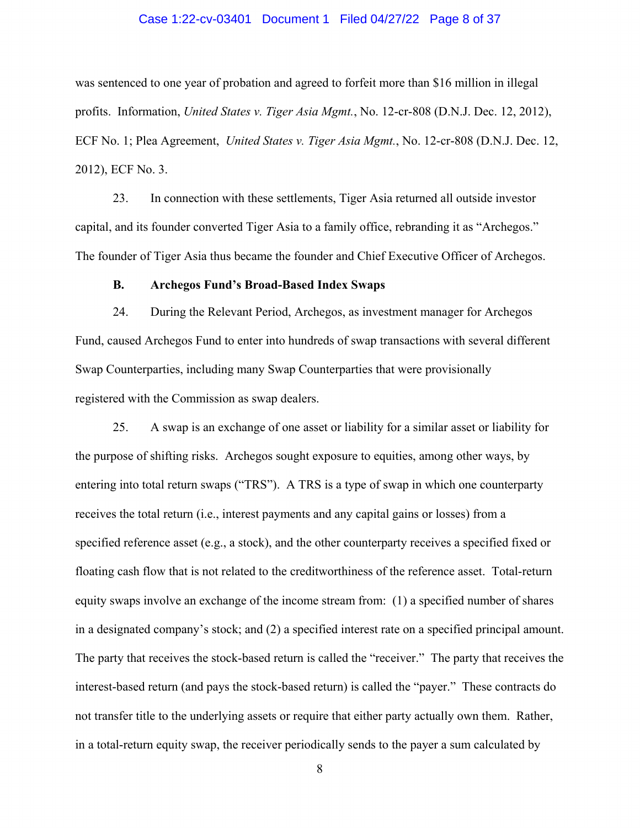#### Case 1:22-cv-03401 Document 1 Filed 04/27/22 Page 8 of 37

was sentenced to one year of probation and agreed to forfeit more than \$16 million in illegal profits. Information, *United States v. Tiger Asia Mgmt.*, No. 12-cr-808 (D.N.J. Dec. 12, 2012), ECF No. 1; Plea Agreement, *United States v. Tiger Asia Mgmt.*, No. 12-cr-808 (D.N.J. Dec. 12, 2012), ECF No. 3.

23. In connection with these settlements, Tiger Asia returned all outside investor capital, and its founder converted Tiger Asia to a family office, rebranding it as "Archegos." The founder of Tiger Asia thus became the founder and Chief Executive Officer of Archegos.

#### **B. Archegos Fund's Broad-Based Index Swaps**

24. During the Relevant Period, Archegos, as investment manager for Archegos Fund, caused Archegos Fund to enter into hundreds of swap transactions with several different Swap Counterparties, including many Swap Counterparties that were provisionally registered with the Commission as swap dealers.

25. A swap is an exchange of one asset or liability for a similar asset or liability for the purpose of shifting risks. Archegos sought exposure to equities, among other ways, by entering into total return swaps ("TRS"). A TRS is a type of swap in which one counterparty receives the total return (i.e., interest payments and any capital gains or losses) from a specified reference asset (e.g., a stock), and the other counterparty receives a specified fixed or floating cash flow that is not related to the creditworthiness of the reference asset. Total-return equity swaps involve an exchange of the income stream from: (1) a specified number of shares in a designated company's stock; and (2) a specified interest rate on a specified principal amount. The party that receives the stock-based return is called the "receiver." The party that receives the interest-based return (and pays the stock-based return) is called the "payer." These contracts do not transfer title to the underlying assets or require that either party actually own them. Rather, in a total-return equity swap, the receiver periodically sends to the payer a sum calculated by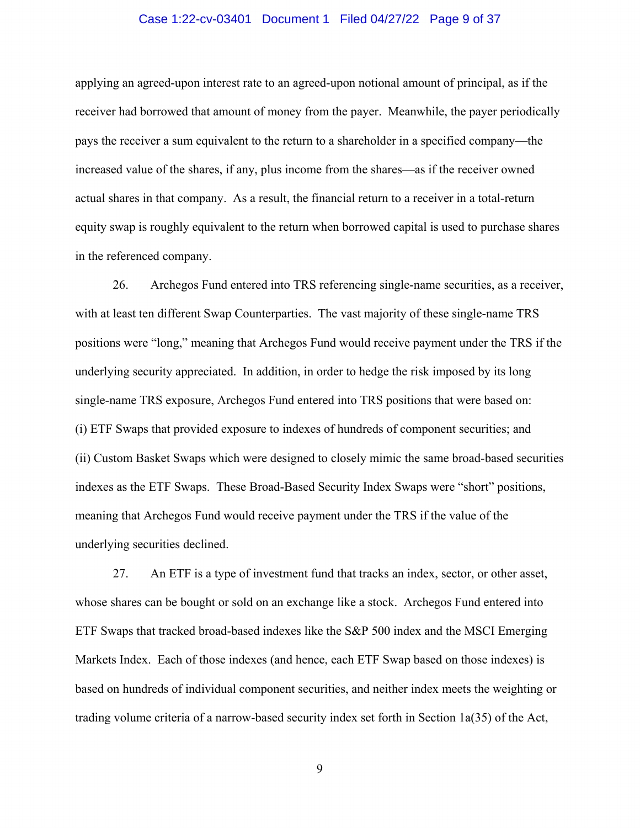#### Case 1:22-cv-03401 Document 1 Filed 04/27/22 Page 9 of 37

applying an agreed-upon interest rate to an agreed-upon notional amount of principal, as if the receiver had borrowed that amount of money from the payer. Meanwhile, the payer periodically pays the receiver a sum equivalent to the return to a shareholder in a specified company—the increased value of the shares, if any, plus income from the shares—as if the receiver owned actual shares in that company. As a result, the financial return to a receiver in a total-return equity swap is roughly equivalent to the return when borrowed capital is used to purchase shares in the referenced company.

26. Archegos Fund entered into TRS referencing single-name securities, as a receiver, with at least ten different Swap Counterparties. The vast majority of these single-name TRS positions were "long," meaning that Archegos Fund would receive payment under the TRS if the underlying security appreciated. In addition, in order to hedge the risk imposed by its long single-name TRS exposure, Archegos Fund entered into TRS positions that were based on: (i) ETF Swaps that provided exposure to indexes of hundreds of component securities; and (ii) Custom Basket Swaps which were designed to closely mimic the same broad-based securities indexes as the ETF Swaps. These Broad-Based Security Index Swaps were "short" positions, meaning that Archegos Fund would receive payment under the TRS if the value of the underlying securities declined.

27. An ETF is a type of investment fund that tracks an index, sector, or other asset, whose shares can be bought or sold on an exchange like a stock. Archegos Fund entered into ETF Swaps that tracked broad-based indexes like the S&P 500 index and the MSCI Emerging Markets Index. Each of those indexes (and hence, each ETF Swap based on those indexes) is based on hundreds of individual component securities, and neither index meets the weighting or trading volume criteria of a narrow-based security index set forth in Section 1a(35) of the Act,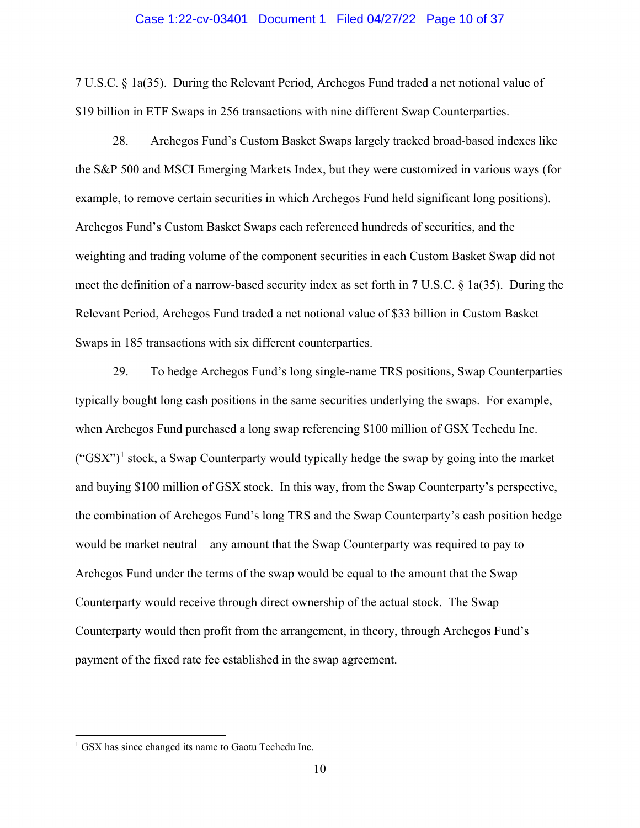#### Case 1:22-cv-03401 Document 1 Filed 04/27/22 Page 10 of 37

7 U.S.C. § 1a(35). During the Relevant Period, Archegos Fund traded a net notional value of \$19 billion in ETF Swaps in 256 transactions with nine different Swap Counterparties.

28. Archegos Fund's Custom Basket Swaps largely tracked broad-based indexes like the S&P 500 and MSCI Emerging Markets Index, but they were customized in various ways (for example, to remove certain securities in which Archegos Fund held significant long positions). Archegos Fund's Custom Basket Swaps each referenced hundreds of securities, and the weighting and trading volume of the component securities in each Custom Basket Swap did not meet the definition of a narrow-based security index as set forth in 7 U.S.C. § 1a(35). During the Relevant Period, Archegos Fund traded a net notional value of \$33 billion in Custom Basket Swaps in 185 transactions with six different counterparties.

29. To hedge Archegos Fund's long single-name TRS positions, Swap Counterparties typically bought long cash positions in the same securities underlying the swaps. For example, when Archegos Fund purchased a long swap referencing \$100 million of GSX Techedu Inc.  $({}^{\circ}GSX^{\prime\prime})^1$  $({}^{\circ}GSX^{\prime\prime})^1$  stock, a Swap Counterparty would typically hedge the swap by going into the market and buying \$100 million of GSX stock. In this way, from the Swap Counterparty's perspective, the combination of Archegos Fund's long TRS and the Swap Counterparty's cash position hedge would be market neutral—any amount that the Swap Counterparty was required to pay to Archegos Fund under the terms of the swap would be equal to the amount that the Swap Counterparty would receive through direct ownership of the actual stock. The Swap Counterparty would then profit from the arrangement, in theory, through Archegos Fund's payment of the fixed rate fee established in the swap agreement.

 $\overline{a}$ 

<span id="page-9-0"></span><sup>&</sup>lt;sup>1</sup> GSX has since changed its name to Gaotu Techedu Inc.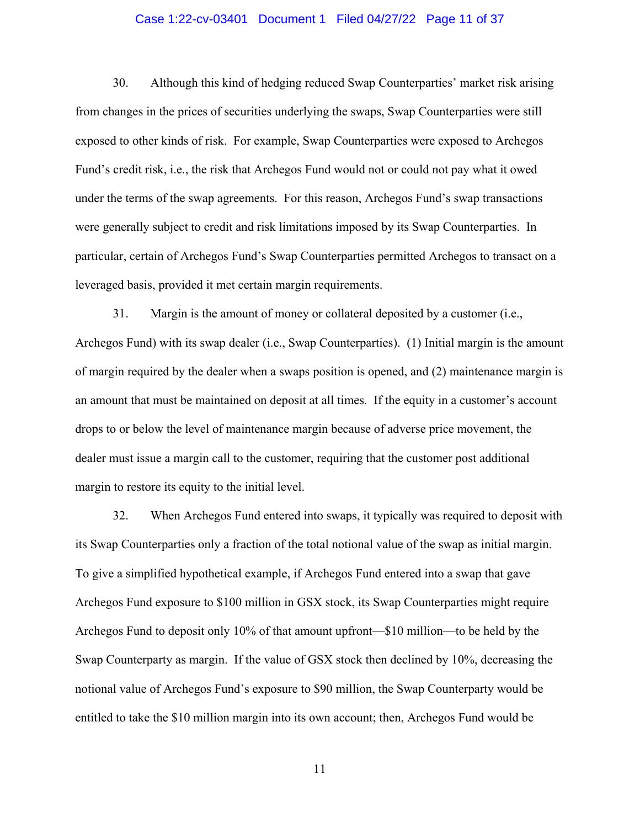#### Case 1:22-cv-03401 Document 1 Filed 04/27/22 Page 11 of 37

30. Although this kind of hedging reduced Swap Counterparties' market risk arising from changes in the prices of securities underlying the swaps, Swap Counterparties were still exposed to other kinds of risk. For example, Swap Counterparties were exposed to Archegos Fund's credit risk, i.e., the risk that Archegos Fund would not or could not pay what it owed under the terms of the swap agreements. For this reason, Archegos Fund's swap transactions were generally subject to credit and risk limitations imposed by its Swap Counterparties. In particular, certain of Archegos Fund's Swap Counterparties permitted Archegos to transact on a leveraged basis, provided it met certain margin requirements.

31. Margin is the amount of money or collateral deposited by a customer (i.e., Archegos Fund) with its swap dealer (i.e., Swap Counterparties). (1) Initial margin is the amount of margin required by the dealer when a swaps position is opened, and (2) maintenance margin is an amount that must be maintained on deposit at all times. If the equity in a customer's account drops to or below the level of maintenance margin because of adverse price movement, the dealer must issue a margin call to the customer, requiring that the customer post additional margin to restore its equity to the initial level.

32. When Archegos Fund entered into swaps, it typically was required to deposit with its Swap Counterparties only a fraction of the total notional value of the swap as initial margin. To give a simplified hypothetical example, if Archegos Fund entered into a swap that gave Archegos Fund exposure to \$100 million in GSX stock, its Swap Counterparties might require Archegos Fund to deposit only 10% of that amount upfront—\$10 million—to be held by the Swap Counterparty as margin. If the value of GSX stock then declined by 10%, decreasing the notional value of Archegos Fund's exposure to \$90 million, the Swap Counterparty would be entitled to take the \$10 million margin into its own account; then, Archegos Fund would be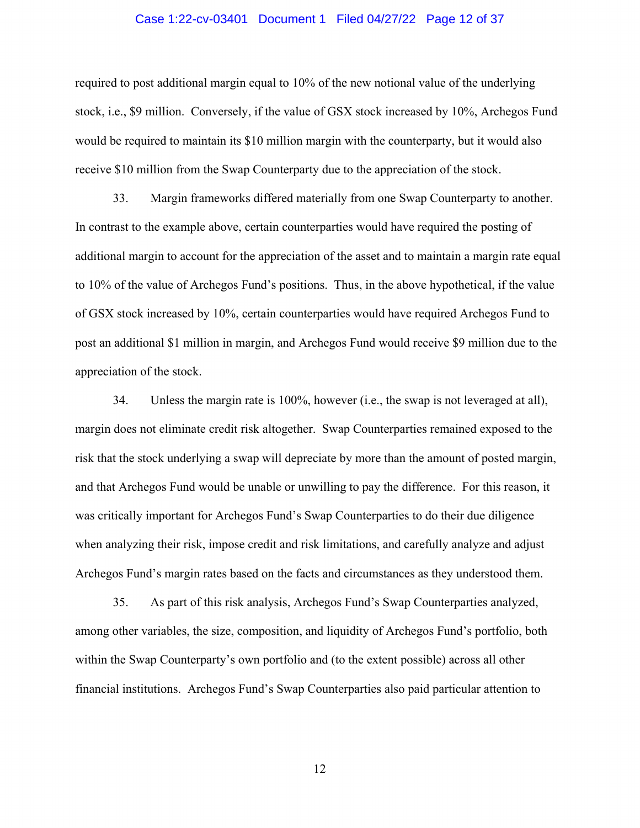#### Case 1:22-cv-03401 Document 1 Filed 04/27/22 Page 12 of 37

required to post additional margin equal to 10% of the new notional value of the underlying stock, i.e., \$9 million. Conversely, if the value of GSX stock increased by 10%, Archegos Fund would be required to maintain its \$10 million margin with the counterparty, but it would also receive \$10 million from the Swap Counterparty due to the appreciation of the stock.

33. Margin frameworks differed materially from one Swap Counterparty to another. In contrast to the example above, certain counterparties would have required the posting of additional margin to account for the appreciation of the asset and to maintain a margin rate equal to 10% of the value of Archegos Fund's positions. Thus, in the above hypothetical, if the value of GSX stock increased by 10%, certain counterparties would have required Archegos Fund to post an additional \$1 million in margin, and Archegos Fund would receive \$9 million due to the appreciation of the stock.

34. Unless the margin rate is 100%, however (i.e., the swap is not leveraged at all), margin does not eliminate credit risk altogether. Swap Counterparties remained exposed to the risk that the stock underlying a swap will depreciate by more than the amount of posted margin, and that Archegos Fund would be unable or unwilling to pay the difference. For this reason, it was critically important for Archegos Fund's Swap Counterparties to do their due diligence when analyzing their risk, impose credit and risk limitations, and carefully analyze and adjust Archegos Fund's margin rates based on the facts and circumstances as they understood them.

35. As part of this risk analysis, Archegos Fund's Swap Counterparties analyzed, among other variables, the size, composition, and liquidity of Archegos Fund's portfolio, both within the Swap Counterparty's own portfolio and (to the extent possible) across all other financial institutions. Archegos Fund's Swap Counterparties also paid particular attention to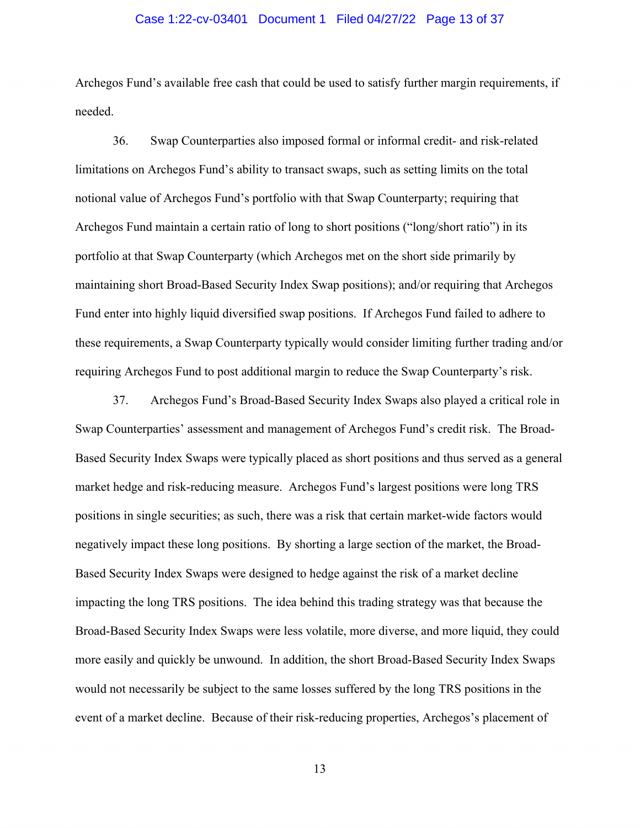#### Case 1:22-cv-03401 Document 1 Filed 04/27/22 Page 13 of 37

Archegos Fund's available free cash that could be used to satisfy further margin requirements, if needed.

36. Swap Counterparties also imposed formal or informal credit- and risk-related limitations on Archegos Fund's ability to transact swaps, such as setting limits on the total notional value of Archegos Fund's portfolio with that Swap Counterparty; requiring that Archegos Fund maintain a certain ratio of long to short positions ("long/short ratio") in its portfolio at that Swap Counterparty (which Archegos met on the short side primarily by maintaining short Broad-Based Security Index Swap positions); and/or requiring that Archegos Fund enter into highly liquid diversified swap positions. If Archegos Fund failed to adhere to these requirements, a Swap Counterparty typically would consider limiting further trading and/or requiring Archegos Fund to post additional margin to reduce the Swap Counterparty's risk.

37. Archegos Fund's Broad-Based Security Index Swaps also played a critical role in Swap Counterparties' assessment and management of Archegos Fund's credit risk. The Broad-Based Security Index Swaps were typically placed as short positions and thus served as a general market hedge and risk-reducing measure. Archegos Fund's largest positions were long TRS positions in single securities; as such, there was a risk that certain market-wide factors would negatively impact these long positions. By shorting a large section of the market, the Broad-Based Security Index Swaps were designed to hedge against the risk of a market decline impacting the long TRS positions. The idea behind this trading strategy was that because the Broad-Based Security Index Swaps were less volatile, more diverse, and more liquid, they could more easily and quickly be unwound. In addition, the short Broad-Based Security Index Swaps would not necessarily be subject to the same losses suffered by the long TRS positions in the event of a market decline. Because of their risk-reducing properties, Archegos's placement of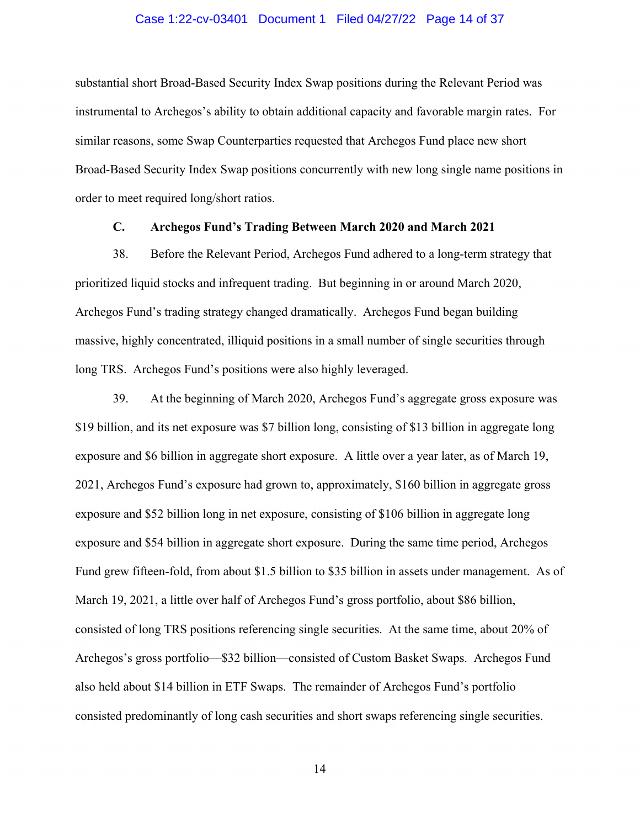#### Case 1:22-cv-03401 Document 1 Filed 04/27/22 Page 14 of 37

substantial short Broad-Based Security Index Swap positions during the Relevant Period was instrumental to Archegos's ability to obtain additional capacity and favorable margin rates. For similar reasons, some Swap Counterparties requested that Archegos Fund place new short Broad-Based Security Index Swap positions concurrently with new long single name positions in order to meet required long/short ratios.

#### **C. Archegos Fund's Trading Between March 2020 and March 2021**

38. Before the Relevant Period, Archegos Fund adhered to a long-term strategy that prioritized liquid stocks and infrequent trading. But beginning in or around March 2020, Archegos Fund's trading strategy changed dramatically. Archegos Fund began building massive, highly concentrated, illiquid positions in a small number of single securities through long TRS. Archegos Fund's positions were also highly leveraged.

39. At the beginning of March 2020, Archegos Fund's aggregate gross exposure was \$19 billion, and its net exposure was \$7 billion long, consisting of \$13 billion in aggregate long exposure and \$6 billion in aggregate short exposure. A little over a year later, as of March 19, 2021, Archegos Fund's exposure had grown to, approximately, \$160 billion in aggregate gross exposure and \$52 billion long in net exposure, consisting of \$106 billion in aggregate long exposure and \$54 billion in aggregate short exposure. During the same time period, Archegos Fund grew fifteen-fold, from about \$1.5 billion to \$35 billion in assets under management. As of March 19, 2021, a little over half of Archegos Fund's gross portfolio, about \$86 billion, consisted of long TRS positions referencing single securities. At the same time, about 20% of Archegos's gross portfolio—\$32 billion—consisted of Custom Basket Swaps. Archegos Fund also held about \$14 billion in ETF Swaps. The remainder of Archegos Fund's portfolio consisted predominantly of long cash securities and short swaps referencing single securities.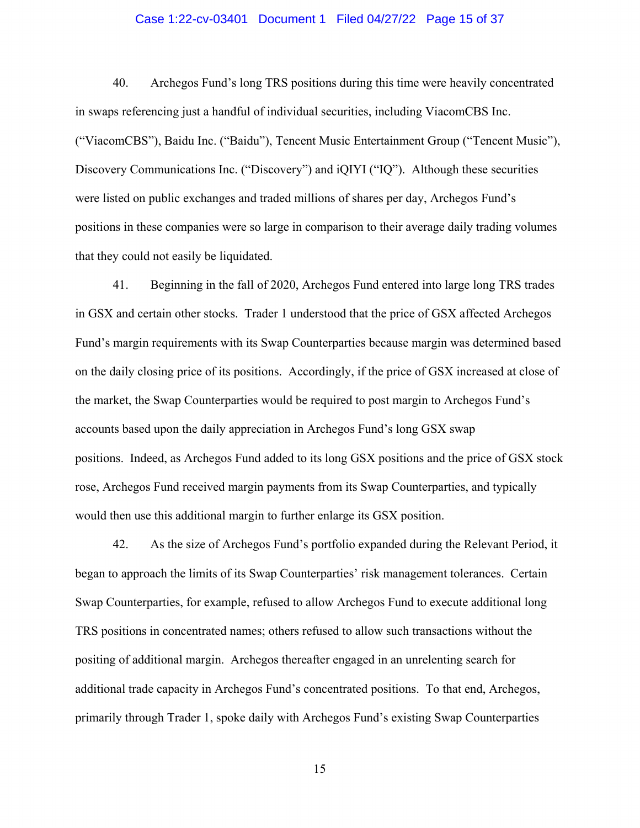#### Case 1:22-cv-03401 Document 1 Filed 04/27/22 Page 15 of 37

40. Archegos Fund's long TRS positions during this time were heavily concentrated in swaps referencing just a handful of individual securities, including ViacomCBS Inc. ("ViacomCBS"), Baidu Inc. ("Baidu"), Tencent Music Entertainment Group ("Tencent Music"), Discovery Communications Inc. ("Discovery") and iQIYI ("IQ"). Although these securities were listed on public exchanges and traded millions of shares per day, Archegos Fund's positions in these companies were so large in comparison to their average daily trading volumes that they could not easily be liquidated.

41. Beginning in the fall of 2020, Archegos Fund entered into large long TRS trades in GSX and certain other stocks. Trader 1 understood that the price of GSX affected Archegos Fund's margin requirements with its Swap Counterparties because margin was determined based on the daily closing price of its positions. Accordingly, if the price of GSX increased at close of the market, the Swap Counterparties would be required to post margin to Archegos Fund's accounts based upon the daily appreciation in Archegos Fund's long GSX swap positions. Indeed, as Archegos Fund added to its long GSX positions and the price of GSX stock rose, Archegos Fund received margin payments from its Swap Counterparties, and typically would then use this additional margin to further enlarge its GSX position.

42. As the size of Archegos Fund's portfolio expanded during the Relevant Period, it began to approach the limits of its Swap Counterparties' risk management tolerances. Certain Swap Counterparties, for example, refused to allow Archegos Fund to execute additional long TRS positions in concentrated names; others refused to allow such transactions without the positing of additional margin. Archegos thereafter engaged in an unrelenting search for additional trade capacity in Archegos Fund's concentrated positions. To that end, Archegos, primarily through Trader 1, spoke daily with Archegos Fund's existing Swap Counterparties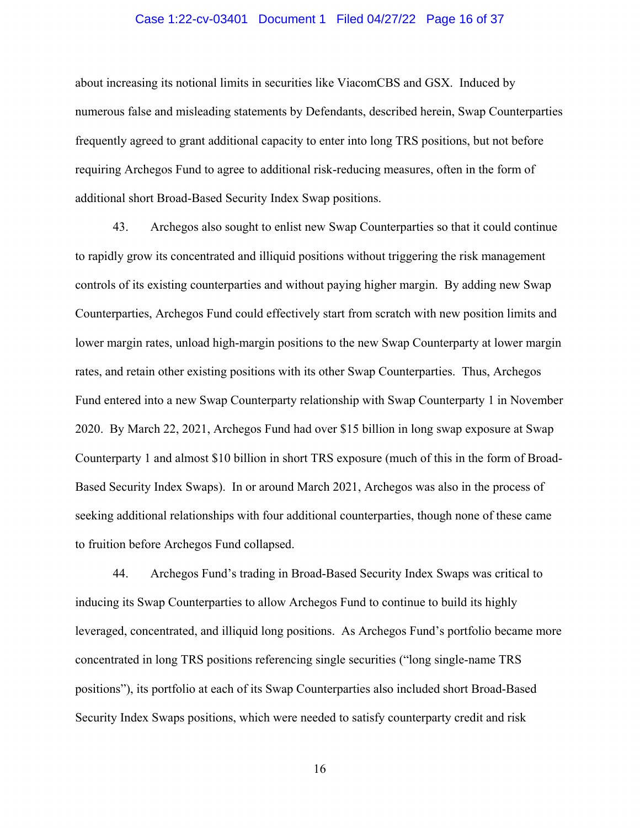#### Case 1:22-cv-03401 Document 1 Filed 04/27/22 Page 16 of 37

about increasing its notional limits in securities like ViacomCBS and GSX. Induced by numerous false and misleading statements by Defendants, described herein, Swap Counterparties frequently agreed to grant additional capacity to enter into long TRS positions, but not before requiring Archegos Fund to agree to additional risk-reducing measures, often in the form of additional short Broad-Based Security Index Swap positions.

43. Archegos also sought to enlist new Swap Counterparties so that it could continue to rapidly grow its concentrated and illiquid positions without triggering the risk management controls of its existing counterparties and without paying higher margin. By adding new Swap Counterparties, Archegos Fund could effectively start from scratch with new position limits and lower margin rates, unload high-margin positions to the new Swap Counterparty at lower margin rates, and retain other existing positions with its other Swap Counterparties. Thus, Archegos Fund entered into a new Swap Counterparty relationship with Swap Counterparty 1 in November 2020. By March 22, 2021, Archegos Fund had over \$15 billion in long swap exposure at Swap Counterparty 1 and almost \$10 billion in short TRS exposure (much of this in the form of Broad-Based Security Index Swaps). In or around March 2021, Archegos was also in the process of seeking additional relationships with four additional counterparties, though none of these came to fruition before Archegos Fund collapsed.

44. Archegos Fund's trading in Broad-Based Security Index Swaps was critical to inducing its Swap Counterparties to allow Archegos Fund to continue to build its highly leveraged, concentrated, and illiquid long positions. As Archegos Fund's portfolio became more concentrated in long TRS positions referencing single securities ("long single-name TRS positions"), its portfolio at each of its Swap Counterparties also included short Broad-Based Security Index Swaps positions, which were needed to satisfy counterparty credit and risk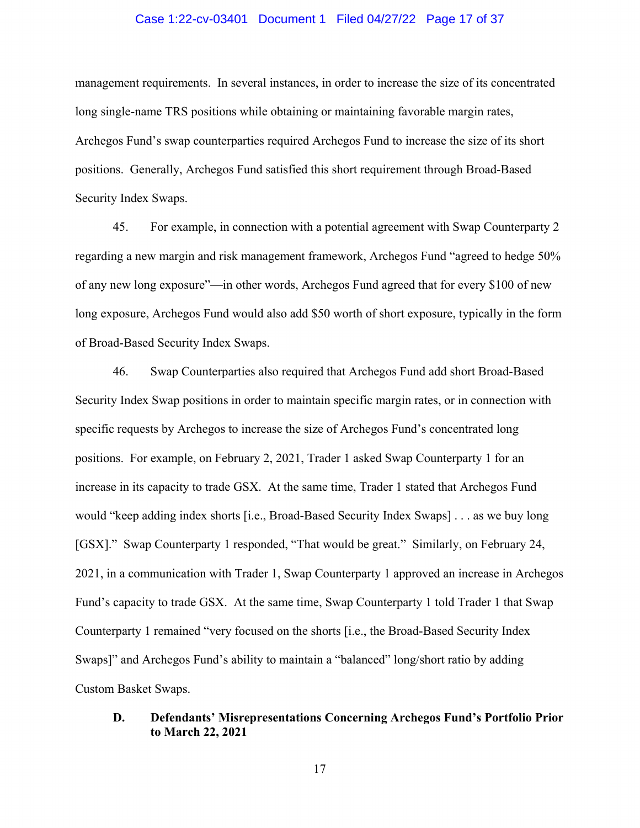#### Case 1:22-cv-03401 Document 1 Filed 04/27/22 Page 17 of 37

management requirements. In several instances, in order to increase the size of its concentrated long single-name TRS positions while obtaining or maintaining favorable margin rates, Archegos Fund's swap counterparties required Archegos Fund to increase the size of its short positions. Generally, Archegos Fund satisfied this short requirement through Broad-Based Security Index Swaps.

45. For example, in connection with a potential agreement with Swap Counterparty 2 regarding a new margin and risk management framework, Archegos Fund "agreed to hedge 50% of any new long exposure"—in other words, Archegos Fund agreed that for every \$100 of new long exposure, Archegos Fund would also add \$50 worth of short exposure, typically in the form of Broad-Based Security Index Swaps.

46. Swap Counterparties also required that Archegos Fund add short Broad-Based Security Index Swap positions in order to maintain specific margin rates, or in connection with specific requests by Archegos to increase the size of Archegos Fund's concentrated long positions. For example, on February 2, 2021, Trader 1 asked Swap Counterparty 1 for an increase in its capacity to trade GSX. At the same time, Trader 1 stated that Archegos Fund would "keep adding index shorts [i.e., Broad-Based Security Index Swaps] . . . as we buy long [GSX]." Swap Counterparty 1 responded, "That would be great." Similarly, on February 24, 2021, in a communication with Trader 1, Swap Counterparty 1 approved an increase in Archegos Fund's capacity to trade GSX. At the same time, Swap Counterparty 1 told Trader 1 that Swap Counterparty 1 remained "very focused on the shorts [i.e., the Broad-Based Security Index Swaps]" and Archegos Fund's ability to maintain a "balanced" long/short ratio by adding Custom Basket Swaps.

# **D. Defendants' Misrepresentations Concerning Archegos Fund's Portfolio Prior to March 22, 2021**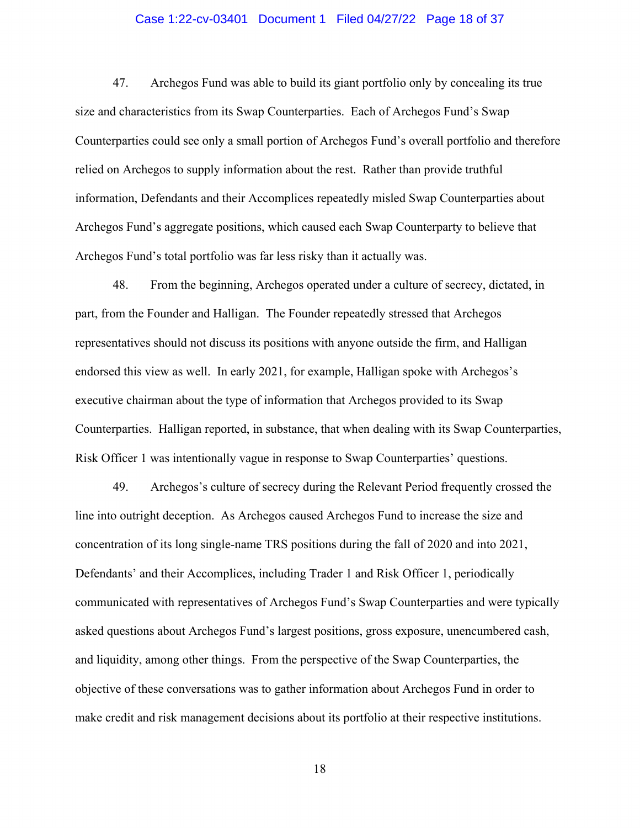#### Case 1:22-cv-03401 Document 1 Filed 04/27/22 Page 18 of 37

47. Archegos Fund was able to build its giant portfolio only by concealing its true size and characteristics from its Swap Counterparties. Each of Archegos Fund's Swap Counterparties could see only a small portion of Archegos Fund's overall portfolio and therefore relied on Archegos to supply information about the rest. Rather than provide truthful information, Defendants and their Accomplices repeatedly misled Swap Counterparties about Archegos Fund's aggregate positions, which caused each Swap Counterparty to believe that Archegos Fund's total portfolio was far less risky than it actually was.

48. From the beginning, Archegos operated under a culture of secrecy, dictated, in part, from the Founder and Halligan. The Founder repeatedly stressed that Archegos representatives should not discuss its positions with anyone outside the firm, and Halligan endorsed this view as well. In early 2021, for example, Halligan spoke with Archegos's executive chairman about the type of information that Archegos provided to its Swap Counterparties. Halligan reported, in substance, that when dealing with its Swap Counterparties, Risk Officer 1 was intentionally vague in response to Swap Counterparties' questions.

49. Archegos's culture of secrecy during the Relevant Period frequently crossed the line into outright deception. As Archegos caused Archegos Fund to increase the size and concentration of its long single-name TRS positions during the fall of 2020 and into 2021, Defendants' and their Accomplices, including Trader 1 and Risk Officer 1, periodically communicated with representatives of Archegos Fund's Swap Counterparties and were typically asked questions about Archegos Fund's largest positions, gross exposure, unencumbered cash, and liquidity, among other things. From the perspective of the Swap Counterparties, the objective of these conversations was to gather information about Archegos Fund in order to make credit and risk management decisions about its portfolio at their respective institutions.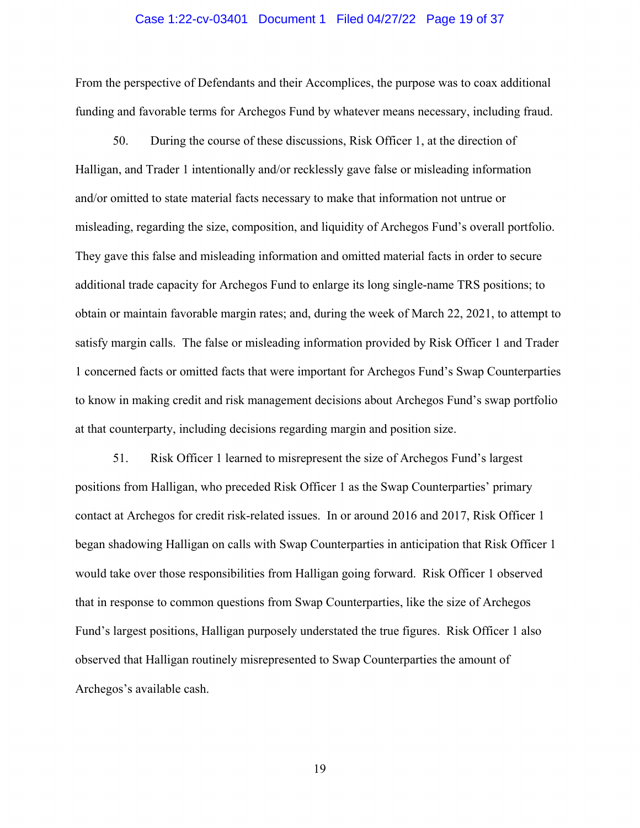#### Case 1:22-cv-03401 Document 1 Filed 04/27/22 Page 19 of 37

From the perspective of Defendants and their Accomplices, the purpose was to coax additional funding and favorable terms for Archegos Fund by whatever means necessary, including fraud.

50. During the course of these discussions, Risk Officer 1, at the direction of Halligan, and Trader 1 intentionally and/or recklessly gave false or misleading information and/or omitted to state material facts necessary to make that information not untrue or misleading, regarding the size, composition, and liquidity of Archegos Fund's overall portfolio. They gave this false and misleading information and omitted material facts in order to secure additional trade capacity for Archegos Fund to enlarge its long single-name TRS positions; to obtain or maintain favorable margin rates; and, during the week of March 22, 2021, to attempt to satisfy margin calls. The false or misleading information provided by Risk Officer 1 and Trader 1 concerned facts or omitted facts that were important for Archegos Fund's Swap Counterparties to know in making credit and risk management decisions about Archegos Fund's swap portfolio at that counterparty, including decisions regarding margin and position size.

51. Risk Officer 1 learned to misrepresent the size of Archegos Fund's largest positions from Halligan, who preceded Risk Officer 1 as the Swap Counterparties' primary contact at Archegos for credit risk-related issues. In or around 2016 and 2017, Risk Officer 1 began shadowing Halligan on calls with Swap Counterparties in anticipation that Risk Officer 1 would take over those responsibilities from Halligan going forward. Risk Officer 1 observed that in response to common questions from Swap Counterparties, like the size of Archegos Fund's largest positions, Halligan purposely understated the true figures. Risk Officer 1 also observed that Halligan routinely misrepresented to Swap Counterparties the amount of Archegos's available cash.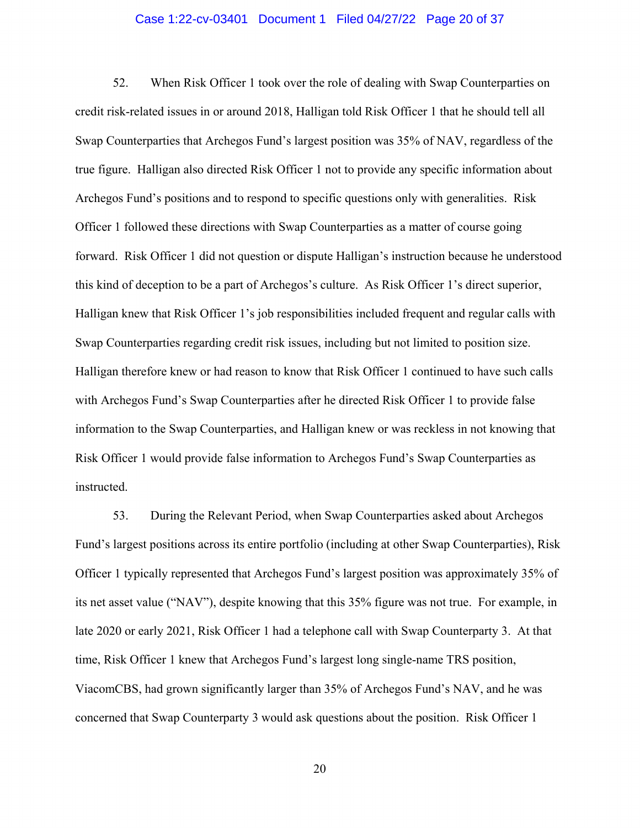#### Case 1:22-cv-03401 Document 1 Filed 04/27/22 Page 20 of 37

52. When Risk Officer 1 took over the role of dealing with Swap Counterparties on credit risk-related issues in or around 2018, Halligan told Risk Officer 1 that he should tell all Swap Counterparties that Archegos Fund's largest position was 35% of NAV, regardless of the true figure. Halligan also directed Risk Officer 1 not to provide any specific information about Archegos Fund's positions and to respond to specific questions only with generalities. Risk Officer 1 followed these directions with Swap Counterparties as a matter of course going forward. Risk Officer 1 did not question or dispute Halligan's instruction because he understood this kind of deception to be a part of Archegos's culture. As Risk Officer 1's direct superior, Halligan knew that Risk Officer 1's job responsibilities included frequent and regular calls with Swap Counterparties regarding credit risk issues, including but not limited to position size. Halligan therefore knew or had reason to know that Risk Officer 1 continued to have such calls with Archegos Fund's Swap Counterparties after he directed Risk Officer 1 to provide false information to the Swap Counterparties, and Halligan knew or was reckless in not knowing that Risk Officer 1 would provide false information to Archegos Fund's Swap Counterparties as instructed.

53. During the Relevant Period, when Swap Counterparties asked about Archegos Fund's largest positions across its entire portfolio (including at other Swap Counterparties), Risk Officer 1 typically represented that Archegos Fund's largest position was approximately 35% of its net asset value ("NAV"), despite knowing that this 35% figure was not true. For example, in late 2020 or early 2021, Risk Officer 1 had a telephone call with Swap Counterparty 3. At that time, Risk Officer 1 knew that Archegos Fund's largest long single-name TRS position, ViacomCBS, had grown significantly larger than 35% of Archegos Fund's NAV, and he was concerned that Swap Counterparty 3 would ask questions about the position. Risk Officer 1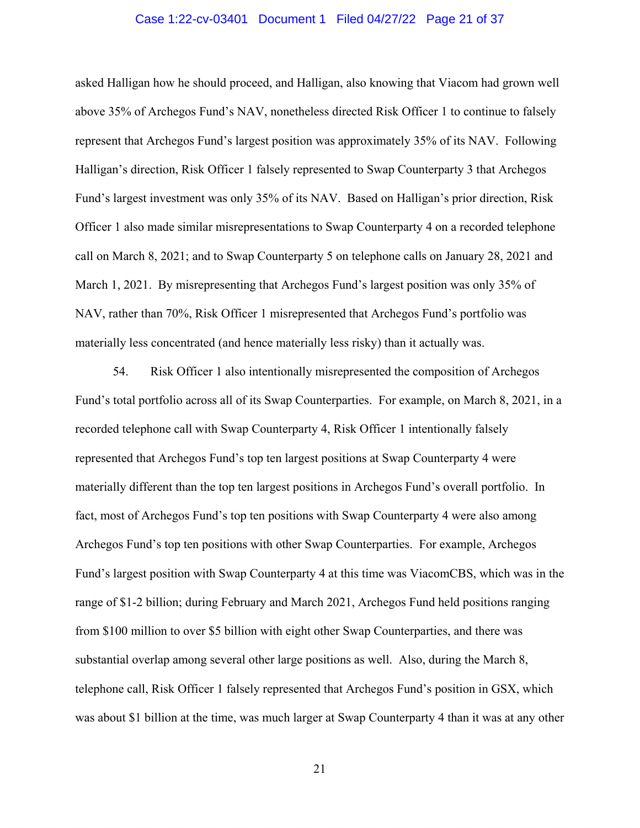#### Case 1:22-cv-03401 Document 1 Filed 04/27/22 Page 21 of 37

asked Halligan how he should proceed, and Halligan, also knowing that Viacom had grown well above 35% of Archegos Fund's NAV, nonetheless directed Risk Officer 1 to continue to falsely represent that Archegos Fund's largest position was approximately 35% of its NAV. Following Halligan's direction, Risk Officer 1 falsely represented to Swap Counterparty 3 that Archegos Fund's largest investment was only 35% of its NAV. Based on Halligan's prior direction, Risk Officer 1 also made similar misrepresentations to Swap Counterparty 4 on a recorded telephone call on March 8, 2021; and to Swap Counterparty 5 on telephone calls on January 28, 2021 and March 1, 2021. By misrepresenting that Archegos Fund's largest position was only 35% of NAV, rather than 70%, Risk Officer 1 misrepresented that Archegos Fund's portfolio was materially less concentrated (and hence materially less risky) than it actually was.

54. Risk Officer 1 also intentionally misrepresented the composition of Archegos Fund's total portfolio across all of its Swap Counterparties. For example, on March 8, 2021, in a recorded telephone call with Swap Counterparty 4, Risk Officer 1 intentionally falsely represented that Archegos Fund's top ten largest positions at Swap Counterparty 4 were materially different than the top ten largest positions in Archegos Fund's overall portfolio. In fact, most of Archegos Fund's top ten positions with Swap Counterparty 4 were also among Archegos Fund's top ten positions with other Swap Counterparties. For example, Archegos Fund's largest position with Swap Counterparty 4 at this time was ViacomCBS, which was in the range of \$1-2 billion; during February and March 2021, Archegos Fund held positions ranging from \$100 million to over \$5 billion with eight other Swap Counterparties, and there was substantial overlap among several other large positions as well. Also, during the March 8, telephone call, Risk Officer 1 falsely represented that Archegos Fund's position in GSX, which was about \$1 billion at the time, was much larger at Swap Counterparty 4 than it was at any other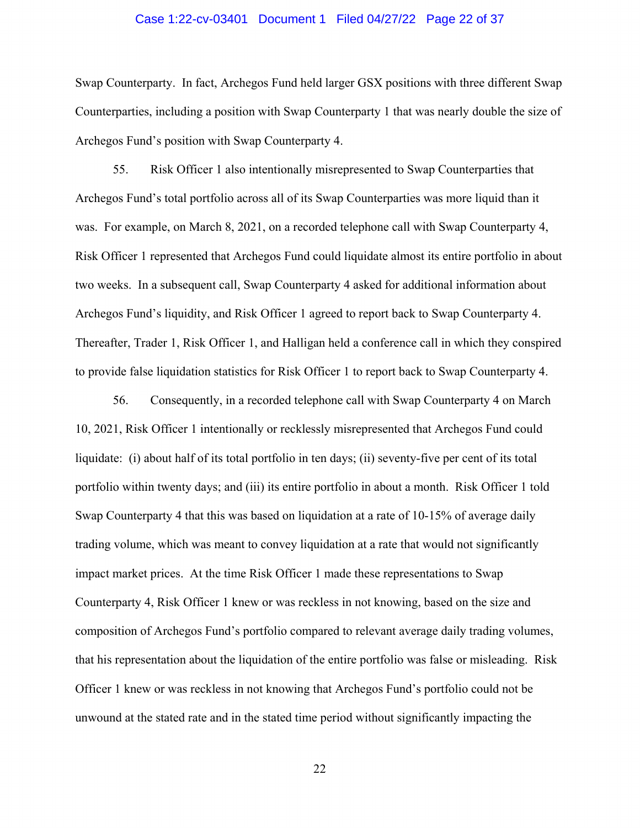#### Case 1:22-cv-03401 Document 1 Filed 04/27/22 Page 22 of 37

Swap Counterparty. In fact, Archegos Fund held larger GSX positions with three different Swap Counterparties, including a position with Swap Counterparty 1 that was nearly double the size of Archegos Fund's position with Swap Counterparty 4.

55. Risk Officer 1 also intentionally misrepresented to Swap Counterparties that Archegos Fund's total portfolio across all of its Swap Counterparties was more liquid than it was. For example, on March 8, 2021, on a recorded telephone call with Swap Counterparty 4, Risk Officer 1 represented that Archegos Fund could liquidate almost its entire portfolio in about two weeks. In a subsequent call, Swap Counterparty 4 asked for additional information about Archegos Fund's liquidity, and Risk Officer 1 agreed to report back to Swap Counterparty 4. Thereafter, Trader 1, Risk Officer 1, and Halligan held a conference call in which they conspired to provide false liquidation statistics for Risk Officer 1 to report back to Swap Counterparty 4.

56. Consequently, in a recorded telephone call with Swap Counterparty 4 on March 10, 2021, Risk Officer 1 intentionally or recklessly misrepresented that Archegos Fund could liquidate: (i) about half of its total portfolio in ten days; (ii) seventy-five per cent of its total portfolio within twenty days; and (iii) its entire portfolio in about a month. Risk Officer 1 told Swap Counterparty 4 that this was based on liquidation at a rate of 10-15% of average daily trading volume, which was meant to convey liquidation at a rate that would not significantly impact market prices. At the time Risk Officer 1 made these representations to Swap Counterparty 4, Risk Officer 1 knew or was reckless in not knowing, based on the size and composition of Archegos Fund's portfolio compared to relevant average daily trading volumes, that his representation about the liquidation of the entire portfolio was false or misleading. Risk Officer 1 knew or was reckless in not knowing that Archegos Fund's portfolio could not be unwound at the stated rate and in the stated time period without significantly impacting the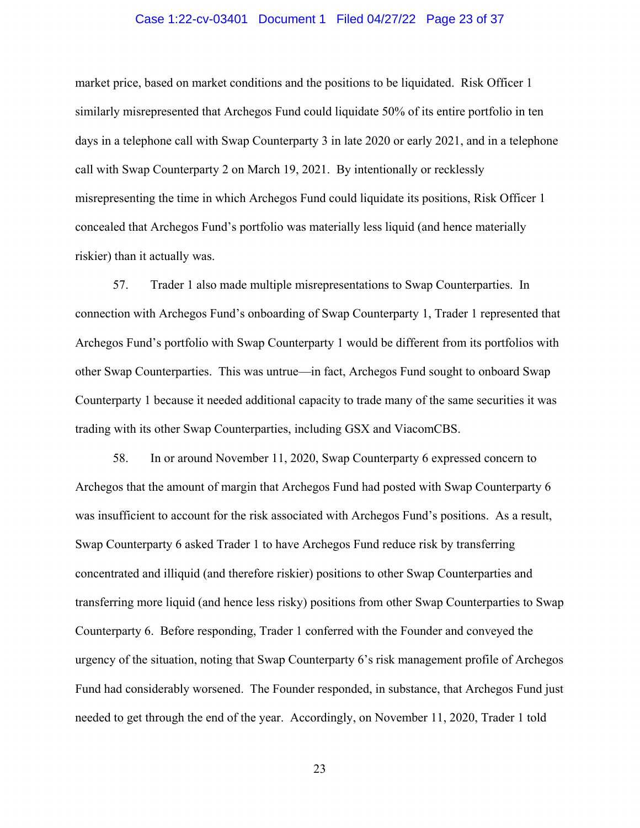#### Case 1:22-cv-03401 Document 1 Filed 04/27/22 Page 23 of 37

market price, based on market conditions and the positions to be liquidated. Risk Officer 1 similarly misrepresented that Archegos Fund could liquidate 50% of its entire portfolio in ten days in a telephone call with Swap Counterparty 3 in late 2020 or early 2021, and in a telephone call with Swap Counterparty 2 on March 19, 2021. By intentionally or recklessly misrepresenting the time in which Archegos Fund could liquidate its positions, Risk Officer 1 concealed that Archegos Fund's portfolio was materially less liquid (and hence materially riskier) than it actually was.

57. Trader 1 also made multiple misrepresentations to Swap Counterparties. In connection with Archegos Fund's onboarding of Swap Counterparty 1, Trader 1 represented that Archegos Fund's portfolio with Swap Counterparty 1 would be different from its portfolios with other Swap Counterparties. This was untrue—in fact, Archegos Fund sought to onboard Swap Counterparty 1 because it needed additional capacity to trade many of the same securities it was trading with its other Swap Counterparties, including GSX and ViacomCBS.

58. In or around November 11, 2020, Swap Counterparty 6 expressed concern to Archegos that the amount of margin that Archegos Fund had posted with Swap Counterparty 6 was insufficient to account for the risk associated with Archegos Fund's positions. As a result, Swap Counterparty 6 asked Trader 1 to have Archegos Fund reduce risk by transferring concentrated and illiquid (and therefore riskier) positions to other Swap Counterparties and transferring more liquid (and hence less risky) positions from other Swap Counterparties to Swap Counterparty 6. Before responding, Trader 1 conferred with the Founder and conveyed the urgency of the situation, noting that Swap Counterparty 6's risk management profile of Archegos Fund had considerably worsened. The Founder responded, in substance, that Archegos Fund just needed to get through the end of the year. Accordingly, on November 11, 2020, Trader 1 told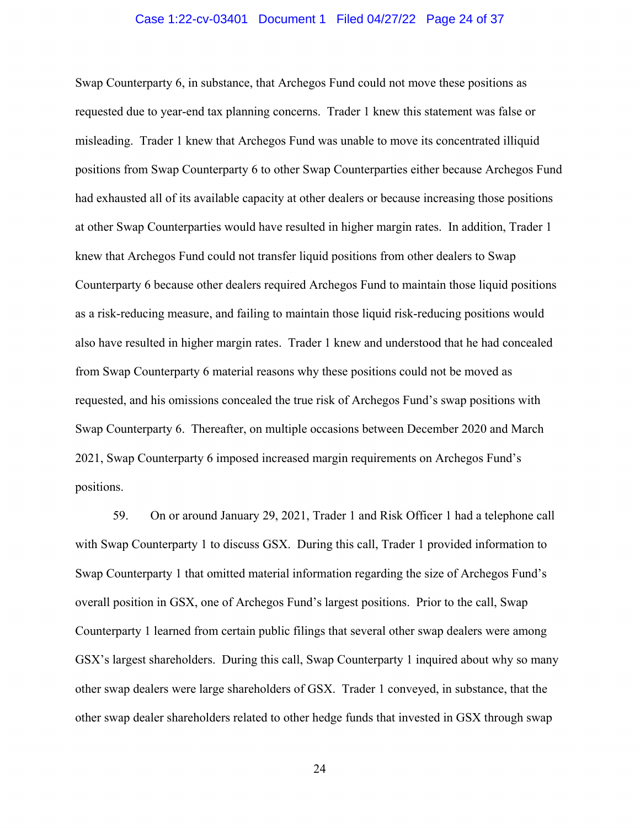#### Case 1:22-cv-03401 Document 1 Filed 04/27/22 Page 24 of 37

Swap Counterparty 6, in substance, that Archegos Fund could not move these positions as requested due to year-end tax planning concerns. Trader 1 knew this statement was false or misleading. Trader 1 knew that Archegos Fund was unable to move its concentrated illiquid positions from Swap Counterparty 6 to other Swap Counterparties either because Archegos Fund had exhausted all of its available capacity at other dealers or because increasing those positions at other Swap Counterparties would have resulted in higher margin rates. In addition, Trader 1 knew that Archegos Fund could not transfer liquid positions from other dealers to Swap Counterparty 6 because other dealers required Archegos Fund to maintain those liquid positions as a risk-reducing measure, and failing to maintain those liquid risk-reducing positions would also have resulted in higher margin rates. Trader 1 knew and understood that he had concealed from Swap Counterparty 6 material reasons why these positions could not be moved as requested, and his omissions concealed the true risk of Archegos Fund's swap positions with Swap Counterparty 6. Thereafter, on multiple occasions between December 2020 and March 2021, Swap Counterparty 6 imposed increased margin requirements on Archegos Fund's positions.

59. On or around January 29, 2021, Trader 1 and Risk Officer 1 had a telephone call with Swap Counterparty 1 to discuss GSX. During this call, Trader 1 provided information to Swap Counterparty 1 that omitted material information regarding the size of Archegos Fund's overall position in GSX, one of Archegos Fund's largest positions. Prior to the call, Swap Counterparty 1 learned from certain public filings that several other swap dealers were among GSX's largest shareholders. During this call, Swap Counterparty 1 inquired about why so many other swap dealers were large shareholders of GSX. Trader 1 conveyed, in substance, that the other swap dealer shareholders related to other hedge funds that invested in GSX through swap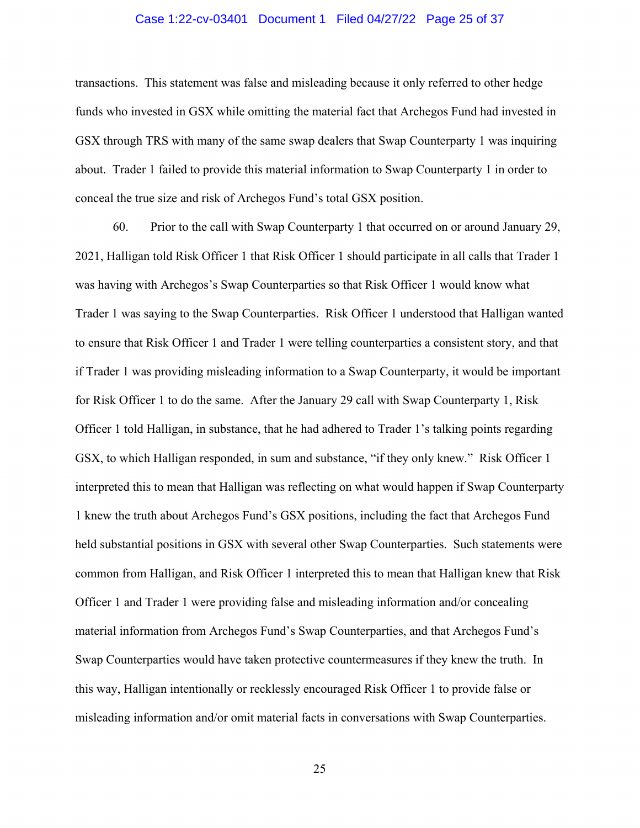#### Case 1:22-cv-03401 Document 1 Filed 04/27/22 Page 25 of 37

transactions. This statement was false and misleading because it only referred to other hedge funds who invested in GSX while omitting the material fact that Archegos Fund had invested in GSX through TRS with many of the same swap dealers that Swap Counterparty 1 was inquiring about. Trader 1 failed to provide this material information to Swap Counterparty 1 in order to conceal the true size and risk of Archegos Fund's total GSX position.

60. Prior to the call with Swap Counterparty 1 that occurred on or around January 29, 2021, Halligan told Risk Officer 1 that Risk Officer 1 should participate in all calls that Trader 1 was having with Archegos's Swap Counterparties so that Risk Officer 1 would know what Trader 1 was saying to the Swap Counterparties. Risk Officer 1 understood that Halligan wanted to ensure that Risk Officer 1 and Trader 1 were telling counterparties a consistent story, and that if Trader 1 was providing misleading information to a Swap Counterparty, it would be important for Risk Officer 1 to do the same. After the January 29 call with Swap Counterparty 1, Risk Officer 1 told Halligan, in substance, that he had adhered to Trader 1's talking points regarding GSX, to which Halligan responded, in sum and substance, "if they only knew." Risk Officer 1 interpreted this to mean that Halligan was reflecting on what would happen if Swap Counterparty 1 knew the truth about Archegos Fund's GSX positions, including the fact that Archegos Fund held substantial positions in GSX with several other Swap Counterparties. Such statements were common from Halligan, and Risk Officer 1 interpreted this to mean that Halligan knew that Risk Officer 1 and Trader 1 were providing false and misleading information and/or concealing material information from Archegos Fund's Swap Counterparties, and that Archegos Fund's Swap Counterparties would have taken protective countermeasures if they knew the truth. In this way, Halligan intentionally or recklessly encouraged Risk Officer 1 to provide false or misleading information and/or omit material facts in conversations with Swap Counterparties.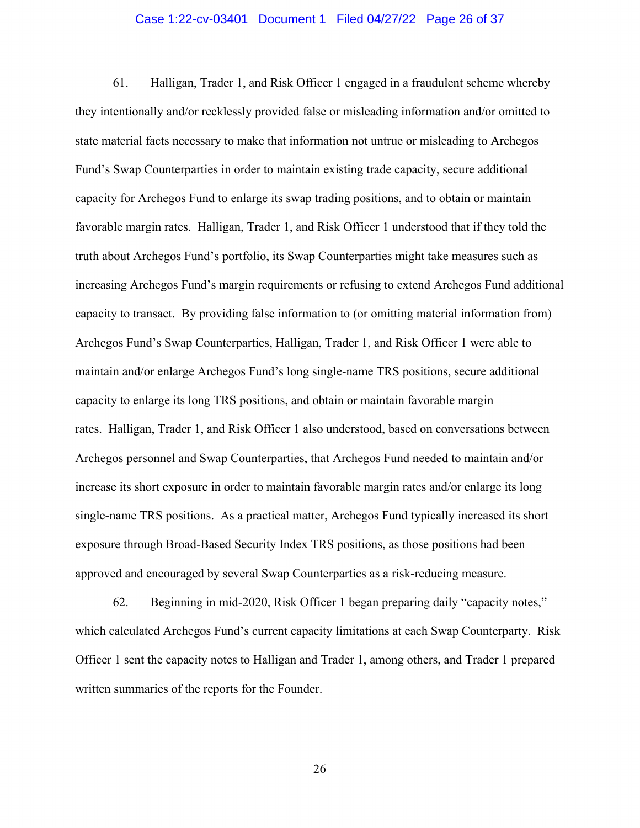#### Case 1:22-cv-03401 Document 1 Filed 04/27/22 Page 26 of 37

61. Halligan, Trader 1, and Risk Officer 1 engaged in a fraudulent scheme whereby they intentionally and/or recklessly provided false or misleading information and/or omitted to state material facts necessary to make that information not untrue or misleading to Archegos Fund's Swap Counterparties in order to maintain existing trade capacity, secure additional capacity for Archegos Fund to enlarge its swap trading positions, and to obtain or maintain favorable margin rates. Halligan, Trader 1, and Risk Officer 1 understood that if they told the truth about Archegos Fund's portfolio, its Swap Counterparties might take measures such as increasing Archegos Fund's margin requirements or refusing to extend Archegos Fund additional capacity to transact. By providing false information to (or omitting material information from) Archegos Fund's Swap Counterparties, Halligan, Trader 1, and Risk Officer 1 were able to maintain and/or enlarge Archegos Fund's long single-name TRS positions, secure additional capacity to enlarge its long TRS positions, and obtain or maintain favorable margin rates. Halligan, Trader 1, and Risk Officer 1 also understood, based on conversations between Archegos personnel and Swap Counterparties, that Archegos Fund needed to maintain and/or increase its short exposure in order to maintain favorable margin rates and/or enlarge its long single-name TRS positions. As a practical matter, Archegos Fund typically increased its short exposure through Broad-Based Security Index TRS positions, as those positions had been approved and encouraged by several Swap Counterparties as a risk-reducing measure.

62. Beginning in mid-2020, Risk Officer 1 began preparing daily "capacity notes," which calculated Archegos Fund's current capacity limitations at each Swap Counterparty. Risk Officer 1 sent the capacity notes to Halligan and Trader 1, among others, and Trader 1 prepared written summaries of the reports for the Founder.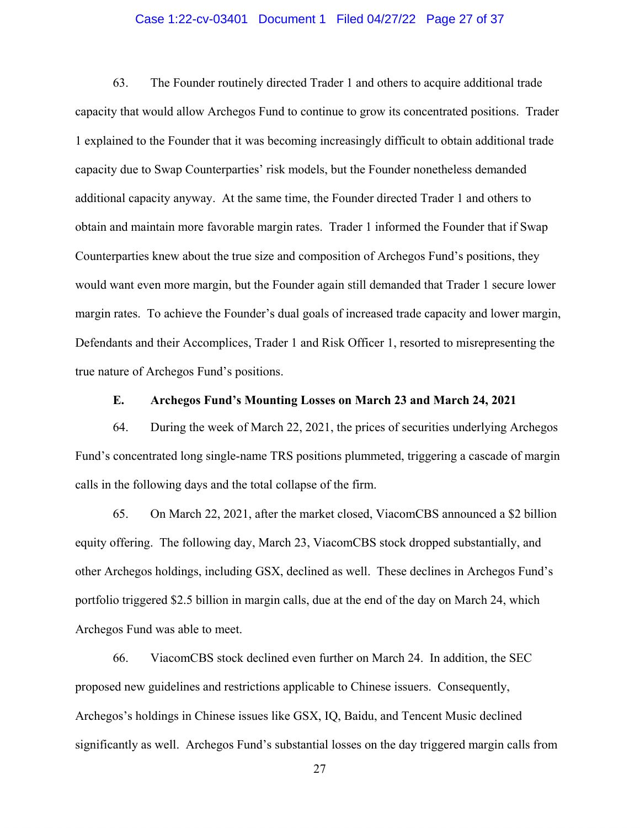#### Case 1:22-cv-03401 Document 1 Filed 04/27/22 Page 27 of 37

63. The Founder routinely directed Trader 1 and others to acquire additional trade capacity that would allow Archegos Fund to continue to grow its concentrated positions. Trader 1 explained to the Founder that it was becoming increasingly difficult to obtain additional trade capacity due to Swap Counterparties' risk models, but the Founder nonetheless demanded additional capacity anyway. At the same time, the Founder directed Trader 1 and others to obtain and maintain more favorable margin rates. Trader 1 informed the Founder that if Swap Counterparties knew about the true size and composition of Archegos Fund's positions, they would want even more margin, but the Founder again still demanded that Trader 1 secure lower margin rates. To achieve the Founder's dual goals of increased trade capacity and lower margin, Defendants and their Accomplices, Trader 1 and Risk Officer 1, resorted to misrepresenting the true nature of Archegos Fund's positions.

## **E. Archegos Fund's Mounting Losses on March 23 and March 24, 2021**

64. During the week of March 22, 2021, the prices of securities underlying Archegos Fund's concentrated long single-name TRS positions plummeted, triggering a cascade of margin calls in the following days and the total collapse of the firm.

65. On March 22, 2021, after the market closed, ViacomCBS announced a \$2 billion equity offering. The following day, March 23, ViacomCBS stock dropped substantially, and other Archegos holdings, including GSX, declined as well. These declines in Archegos Fund's portfolio triggered \$2.5 billion in margin calls, due at the end of the day on March 24, which Archegos Fund was able to meet.

66. ViacomCBS stock declined even further on March 24. In addition, the SEC proposed new guidelines and restrictions applicable to Chinese issuers. Consequently, Archegos's holdings in Chinese issues like GSX, IQ, Baidu, and Tencent Music declined significantly as well. Archegos Fund's substantial losses on the day triggered margin calls from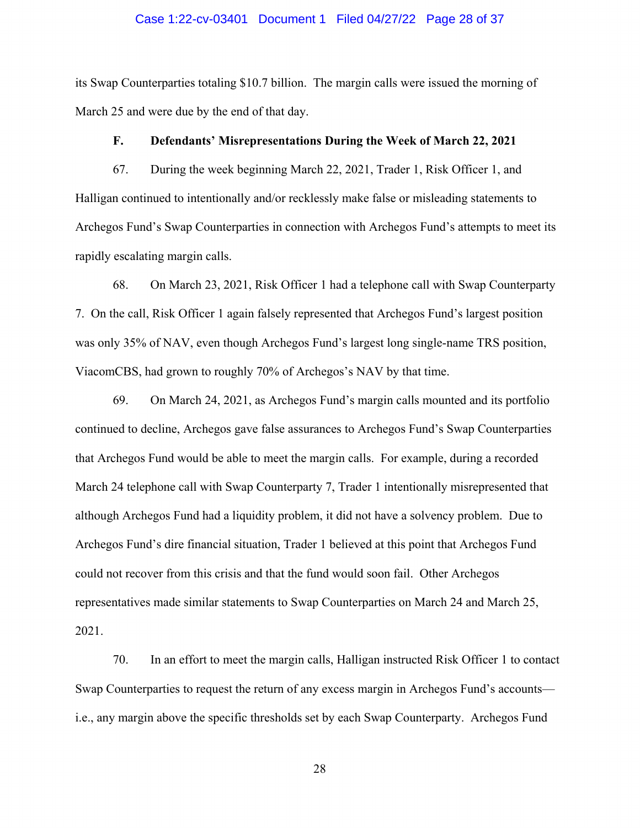#### Case 1:22-cv-03401 Document 1 Filed 04/27/22 Page 28 of 37

its Swap Counterparties totaling \$10.7 billion. The margin calls were issued the morning of March 25 and were due by the end of that day.

#### **F. Defendants' Misrepresentations During the Week of March 22, 2021**

67. During the week beginning March 22, 2021, Trader 1, Risk Officer 1, and Halligan continued to intentionally and/or recklessly make false or misleading statements to Archegos Fund's Swap Counterparties in connection with Archegos Fund's attempts to meet its rapidly escalating margin calls.

68. On March 23, 2021, Risk Officer 1 had a telephone call with Swap Counterparty 7. On the call, Risk Officer 1 again falsely represented that Archegos Fund's largest position was only 35% of NAV, even though Archegos Fund's largest long single-name TRS position, ViacomCBS, had grown to roughly 70% of Archegos's NAV by that time.

69. On March 24, 2021, as Archegos Fund's margin calls mounted and its portfolio continued to decline, Archegos gave false assurances to Archegos Fund's Swap Counterparties that Archegos Fund would be able to meet the margin calls. For example, during a recorded March 24 telephone call with Swap Counterparty 7, Trader 1 intentionally misrepresented that although Archegos Fund had a liquidity problem, it did not have a solvency problem. Due to Archegos Fund's dire financial situation, Trader 1 believed at this point that Archegos Fund could not recover from this crisis and that the fund would soon fail. Other Archegos representatives made similar statements to Swap Counterparties on March 24 and March 25, 2021.

70. In an effort to meet the margin calls, Halligan instructed Risk Officer 1 to contact Swap Counterparties to request the return of any excess margin in Archegos Fund's accounts i.e., any margin above the specific thresholds set by each Swap Counterparty. Archegos Fund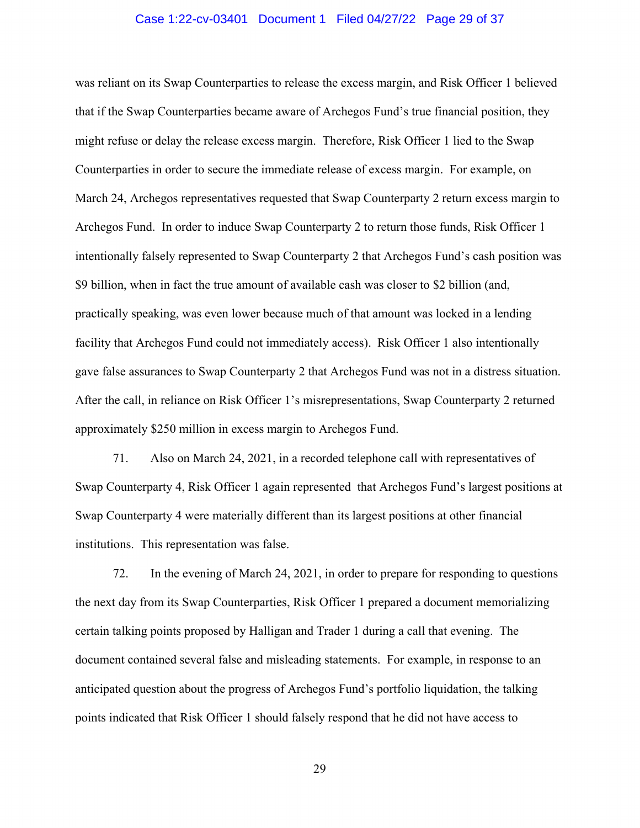#### Case 1:22-cv-03401 Document 1 Filed 04/27/22 Page 29 of 37

was reliant on its Swap Counterparties to release the excess margin, and Risk Officer 1 believed that if the Swap Counterparties became aware of Archegos Fund's true financial position, they might refuse or delay the release excess margin. Therefore, Risk Officer 1 lied to the Swap Counterparties in order to secure the immediate release of excess margin. For example, on March 24, Archegos representatives requested that Swap Counterparty 2 return excess margin to Archegos Fund. In order to induce Swap Counterparty 2 to return those funds, Risk Officer 1 intentionally falsely represented to Swap Counterparty 2 that Archegos Fund's cash position was \$9 billion, when in fact the true amount of available cash was closer to \$2 billion (and, practically speaking, was even lower because much of that amount was locked in a lending facility that Archegos Fund could not immediately access). Risk Officer 1 also intentionally gave false assurances to Swap Counterparty 2 that Archegos Fund was not in a distress situation. After the call, in reliance on Risk Officer 1's misrepresentations, Swap Counterparty 2 returned approximately \$250 million in excess margin to Archegos Fund.

71. Also on March 24, 2021, in a recorded telephone call with representatives of Swap Counterparty 4, Risk Officer 1 again represented that Archegos Fund's largest positions at Swap Counterparty 4 were materially different than its largest positions at other financial institutions. This representation was false.

72. In the evening of March 24, 2021, in order to prepare for responding to questions the next day from its Swap Counterparties, Risk Officer 1 prepared a document memorializing certain talking points proposed by Halligan and Trader 1 during a call that evening. The document contained several false and misleading statements. For example, in response to an anticipated question about the progress of Archegos Fund's portfolio liquidation, the talking points indicated that Risk Officer 1 should falsely respond that he did not have access to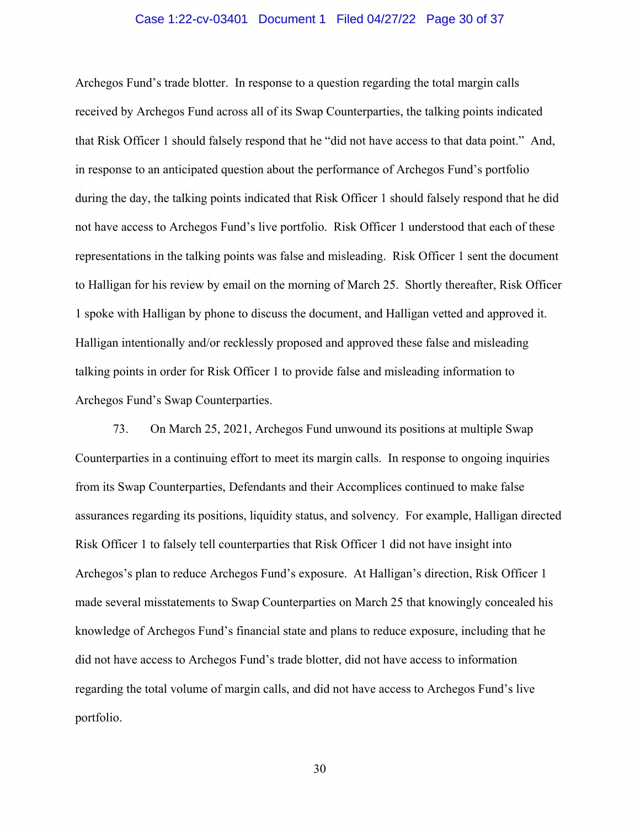#### Case 1:22-cv-03401 Document 1 Filed 04/27/22 Page 30 of 37

Archegos Fund's trade blotter. In response to a question regarding the total margin calls received by Archegos Fund across all of its Swap Counterparties, the talking points indicated that Risk Officer 1 should falsely respond that he "did not have access to that data point." And, in response to an anticipated question about the performance of Archegos Fund's portfolio during the day, the talking points indicated that Risk Officer 1 should falsely respond that he did not have access to Archegos Fund's live portfolio. Risk Officer 1 understood that each of these representations in the talking points was false and misleading. Risk Officer 1 sent the document to Halligan for his review by email on the morning of March 25. Shortly thereafter, Risk Officer 1 spoke with Halligan by phone to discuss the document, and Halligan vetted and approved it. Halligan intentionally and/or recklessly proposed and approved these false and misleading talking points in order for Risk Officer 1 to provide false and misleading information to Archegos Fund's Swap Counterparties.

73. On March 25, 2021, Archegos Fund unwound its positions at multiple Swap Counterparties in a continuing effort to meet its margin calls. In response to ongoing inquiries from its Swap Counterparties, Defendants and their Accomplices continued to make false assurances regarding its positions, liquidity status, and solvency. For example, Halligan directed Risk Officer 1 to falsely tell counterparties that Risk Officer 1 did not have insight into Archegos's plan to reduce Archegos Fund's exposure. At Halligan's direction, Risk Officer 1 made several misstatements to Swap Counterparties on March 25 that knowingly concealed his knowledge of Archegos Fund's financial state and plans to reduce exposure, including that he did not have access to Archegos Fund's trade blotter, did not have access to information regarding the total volume of margin calls, and did not have access to Archegos Fund's live portfolio.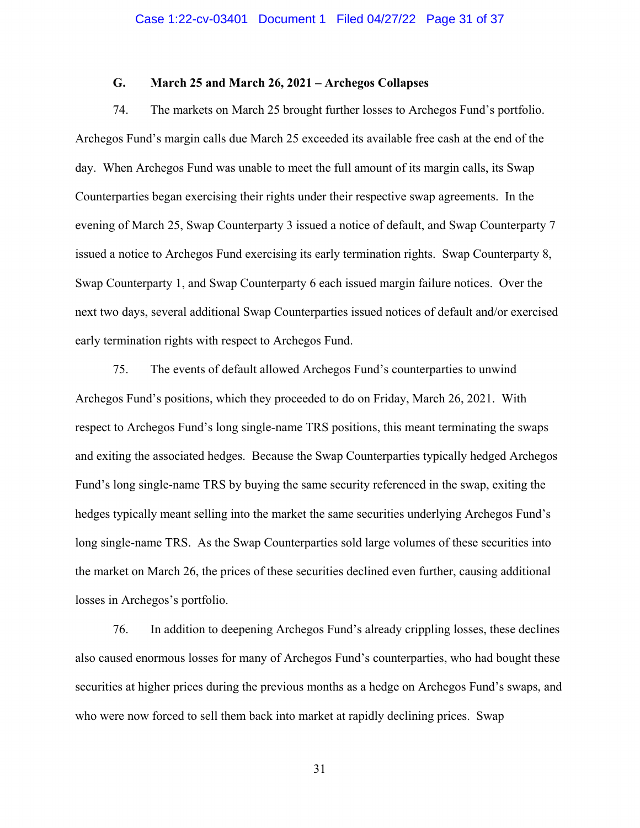# **G. March 25 and March 26, 2021 – Archegos Collapses**

74. The markets on March 25 brought further losses to Archegos Fund's portfolio. Archegos Fund's margin calls due March 25 exceeded its available free cash at the end of the day. When Archegos Fund was unable to meet the full amount of its margin calls, its Swap Counterparties began exercising their rights under their respective swap agreements. In the evening of March 25, Swap Counterparty 3 issued a notice of default, and Swap Counterparty 7 issued a notice to Archegos Fund exercising its early termination rights. Swap Counterparty 8, Swap Counterparty 1, and Swap Counterparty 6 each issued margin failure notices. Over the next two days, several additional Swap Counterparties issued notices of default and/or exercised early termination rights with respect to Archegos Fund.

75. The events of default allowed Archegos Fund's counterparties to unwind Archegos Fund's positions, which they proceeded to do on Friday, March 26, 2021. With respect to Archegos Fund's long single-name TRS positions, this meant terminating the swaps and exiting the associated hedges. Because the Swap Counterparties typically hedged Archegos Fund's long single-name TRS by buying the same security referenced in the swap, exiting the hedges typically meant selling into the market the same securities underlying Archegos Fund's long single-name TRS. As the Swap Counterparties sold large volumes of these securities into the market on March 26, the prices of these securities declined even further, causing additional losses in Archegos's portfolio.

76. In addition to deepening Archegos Fund's already crippling losses, these declines also caused enormous losses for many of Archegos Fund's counterparties, who had bought these securities at higher prices during the previous months as a hedge on Archegos Fund's swaps, and who were now forced to sell them back into market at rapidly declining prices. Swap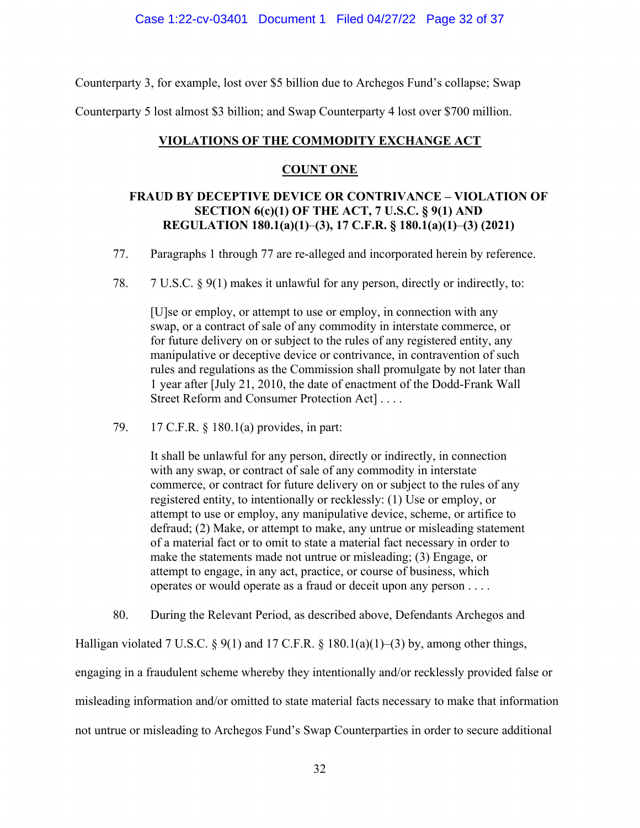Counterparty 3, for example, lost over \$5 billion due to Archegos Fund's collapse; Swap

Counterparty 5 lost almost \$3 billion; and Swap Counterparty 4 lost over \$700 million.

## **VIOLATIONS OF THE COMMODITY EXCHANGE ACT**

## **COUNT ONE**

# **FRAUD BY DECEPTIVE DEVICE OR CONTRIVANCE – VIOLATION OF SECTION 6(c)(1) OF THE ACT, 7 U.S.C. § 9(1) AND REGULATION 180.1(a)(1)**–**(3), 17 C.F.R. § 180.1(a)(1)**–**(3) (2021)**

- 77. Paragraphs 1 through 77 are re-alleged and incorporated herein by reference.
- 78. 7 U.S.C. § 9(1) makes it unlawful for any person, directly or indirectly, to:

[U]se or employ, or attempt to use or employ, in connection with any swap, or a contract of sale of any commodity in interstate commerce, or for future delivery on or subject to the rules of any registered entity, any manipulative or deceptive device or contrivance, in contravention of such rules and regulations as the Commission shall promulgate by not later than 1 year after [July 21, 2010, the date of enactment of the Dodd-Frank Wall Street Reform and Consumer Protection Act] . . . .

79. 17 C.F.R. § 180.1(a) provides, in part:

It shall be unlawful for any person, directly or indirectly, in connection with any swap, or contract of sale of any commodity in interstate commerce, or contract for future delivery on or subject to the rules of any registered entity, to intentionally or recklessly: (1) Use or employ, or attempt to use or employ, any manipulative device, scheme, or artifice to defraud; (2) Make, or attempt to make, any untrue or misleading statement of a material fact or to omit to state a material fact necessary in order to make the statements made not untrue or misleading; (3) Engage, or attempt to engage, in any act, practice, or course of business, which operates or would operate as a fraud or deceit upon any person . . . .

80. During the Relevant Period, as described above, Defendants Archegos and

Halligan violated 7 U.S.C. § 9(1) and 17 C.F.R. § 180.1(a)(1)–(3) by, among other things,

engaging in a fraudulent scheme whereby they intentionally and/or recklessly provided false or misleading information and/or omitted to state material facts necessary to make that information not untrue or misleading to Archegos Fund's Swap Counterparties in order to secure additional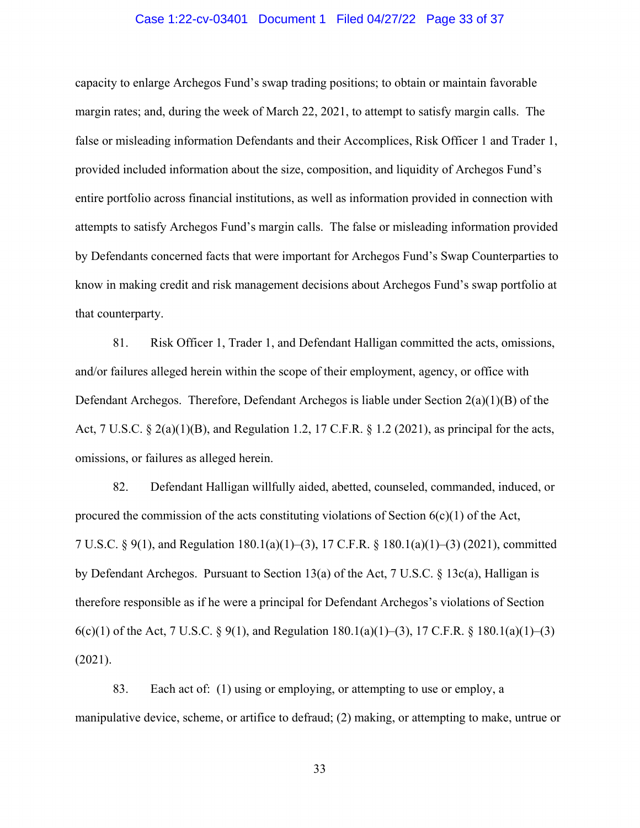#### Case 1:22-cv-03401 Document 1 Filed 04/27/22 Page 33 of 37

capacity to enlarge Archegos Fund's swap trading positions; to obtain or maintain favorable margin rates; and, during the week of March 22, 2021, to attempt to satisfy margin calls. The false or misleading information Defendants and their Accomplices, Risk Officer 1 and Trader 1, provided included information about the size, composition, and liquidity of Archegos Fund's entire portfolio across financial institutions, as well as information provided in connection with attempts to satisfy Archegos Fund's margin calls. The false or misleading information provided by Defendants concerned facts that were important for Archegos Fund's Swap Counterparties to know in making credit and risk management decisions about Archegos Fund's swap portfolio at that counterparty.

81. Risk Officer 1, Trader 1, and Defendant Halligan committed the acts, omissions, and/or failures alleged herein within the scope of their employment, agency, or office with Defendant Archegos. Therefore, Defendant Archegos is liable under Section 2(a)(1)(B) of the Act, 7 U.S.C. § 2(a)(1)(B), and Regulation 1.2, 17 C.F.R. § 1.2 (2021), as principal for the acts, omissions, or failures as alleged herein.

82. Defendant Halligan willfully aided, abetted, counseled, commanded, induced, or procured the commission of the acts constituting violations of Section  $6(c)(1)$  of the Act, 7 U.S.C. § 9(1), and Regulation 180.1(a)(1)–(3), 17 C.F.R. § 180.1(a)(1)–(3) (2021), committed by Defendant Archegos. Pursuant to Section 13(a) of the Act, 7 U.S.C. § 13c(a), Halligan is therefore responsible as if he were a principal for Defendant Archegos's violations of Section 6(c)(1) of the Act, 7 U.S.C. § 9(1), and Regulation 180.1(a)(1)–(3), 17 C.F.R. § 180.1(a)(1)–(3) (2021).

83. Each act of: (1) using or employing, or attempting to use or employ, a manipulative device, scheme, or artifice to defraud; (2) making, or attempting to make, untrue or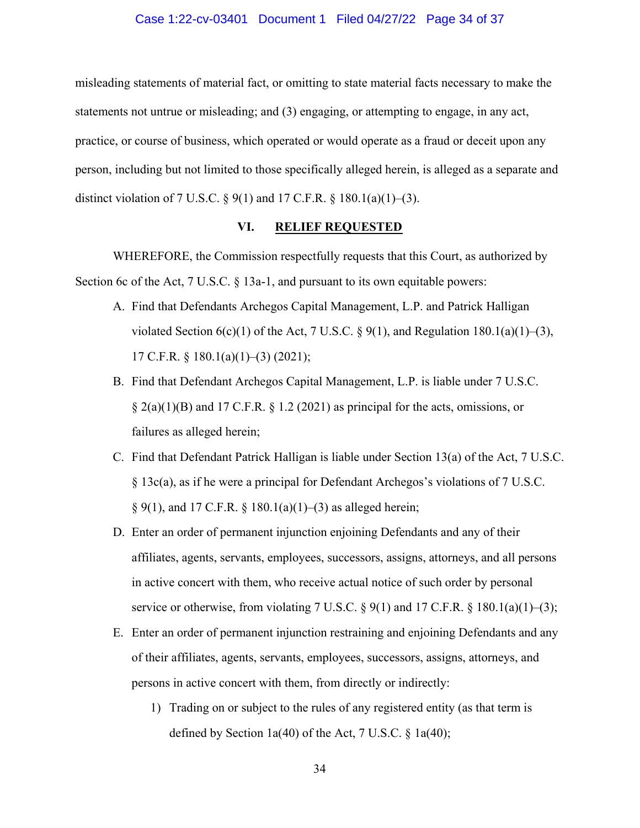#### Case 1:22-cv-03401 Document 1 Filed 04/27/22 Page 34 of 37

misleading statements of material fact, or omitting to state material facts necessary to make the statements not untrue or misleading; and (3) engaging, or attempting to engage, in any act, practice, or course of business, which operated or would operate as a fraud or deceit upon any person, including but not limited to those specifically alleged herein, is alleged as a separate and distinct violation of 7 U.S.C.  $\S 9(1)$  and 17 C.F.R.  $\S 180.1(a)(1)–(3)$ .

## **VI. RELIEF REQUESTED**

WHEREFORE, the Commission respectfully requests that this Court, as authorized by Section 6c of the Act, 7 U.S.C. § 13a-1, and pursuant to its own equitable powers:

- A. Find that Defendants Archegos Capital Management, L.P. and Patrick Halligan violated Section  $6(c)(1)$  of the Act, 7 U.S.C. § 9(1), and Regulation 180.1(a)(1)–(3), 17 C.F.R. § 180.1(a)(1)–(3) (2021);
- B. Find that Defendant Archegos Capital Management, L.P. is liable under 7 U.S.C.  $\S$  2(a)(1)(B) and 17 C.F.R.  $\S$  1.2 (2021) as principal for the acts, omissions, or failures as alleged herein;
- C. Find that Defendant Patrick Halligan is liable under Section 13(a) of the Act, 7 U.S.C. § 13c(a), as if he were a principal for Defendant Archegos's violations of 7 U.S.C.  $\S 9(1)$ , and 17 C.F.R.  $\S 180.1(a)(1)–(3)$  as alleged herein;
- D. Enter an order of permanent injunction enjoining Defendants and any of their affiliates, agents, servants, employees, successors, assigns, attorneys, and all persons in active concert with them, who receive actual notice of such order by personal service or otherwise, from violating 7 U.S.C.  $\S$  9(1) and 17 C.F.R.  $\S$  180.1(a)(1)–(3);
- E. Enter an order of permanent injunction restraining and enjoining Defendants and any of their affiliates, agents, servants, employees, successors, assigns, attorneys, and persons in active concert with them, from directly or indirectly:
	- 1) Trading on or subject to the rules of any registered entity (as that term is defined by Section 1a(40) of the Act, 7 U.S.C. § 1a(40);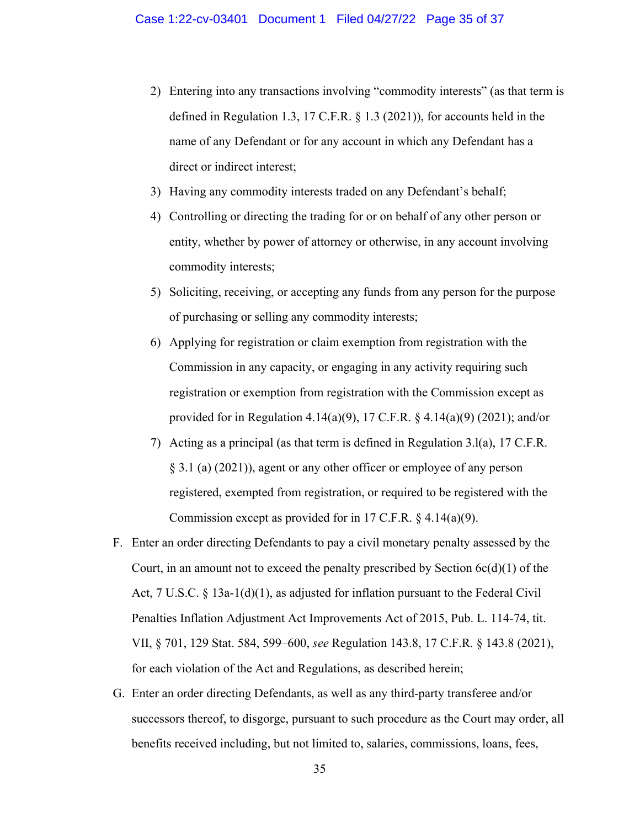- 2) Entering into any transactions involving "commodity interests" (as that term is defined in Regulation 1.3, 17 C.F.R. § 1.3 (2021)), for accounts held in the name of any Defendant or for any account in which any Defendant has a direct or indirect interest;
- 3) Having any commodity interests traded on any Defendant's behalf;
- 4) Controlling or directing the trading for or on behalf of any other person or entity, whether by power of attorney or otherwise, in any account involving commodity interests;
- 5) Soliciting, receiving, or accepting any funds from any person for the purpose of purchasing or selling any commodity interests;
- 6) Applying for registration or claim exemption from registration with the Commission in any capacity, or engaging in any activity requiring such registration or exemption from registration with the Commission except as provided for in Regulation 4.14(a)(9), 17 C.F.R. § 4.14(a)(9) (2021); and/or
- 7) Acting as a principal (as that term is defined in Regulation 3.l(a), 17 C.F.R. § 3.1 (a) (2021)), agent or any other officer or employee of any person registered, exempted from registration, or required to be registered with the Commission except as provided for in 17 C.F.R. § 4.14(a)(9).
- F. Enter an order directing Defendants to pay a civil monetary penalty assessed by the Court, in an amount not to exceed the penalty prescribed by Section  $6c(d)(1)$  of the Act, 7 U.S.C. § 13a-1(d)(1), as adjusted for inflation pursuant to the Federal Civil Penalties Inflation Adjustment Act Improvements Act of 2015, Pub. L. 114-74, tit. VII, § 701, 129 Stat. 584, 599–600, *see* Regulation 143.8, 17 C.F.R. § 143.8 (2021), for each violation of the Act and Regulations, as described herein;
- G. Enter an order directing Defendants, as well as any third-party transferee and/or successors thereof, to disgorge, pursuant to such procedure as the Court may order, all benefits received including, but not limited to, salaries, commissions, loans, fees,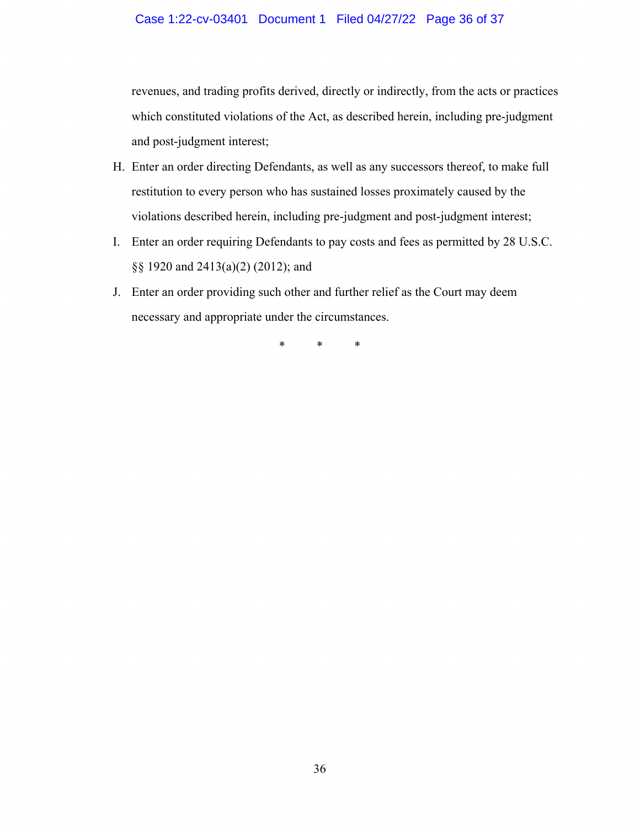## Case 1:22-cv-03401 Document 1 Filed 04/27/22 Page 36 of 37

revenues, and trading profits derived, directly or indirectly, from the acts or practices which constituted violations of the Act, as described herein, including pre-judgment and post-judgment interest;

- H. Enter an order directing Defendants, as well as any successors thereof, to make full restitution to every person who has sustained losses proximately caused by the violations described herein, including pre-judgment and post-judgment interest;
- I. Enter an order requiring Defendants to pay costs and fees as permitted by 28 U.S.C. §§ 1920 and 2413(a)(2) (2012); and
- J. Enter an order providing such other and further relief as the Court may deem necessary and appropriate under the circumstances.

\* \* \*